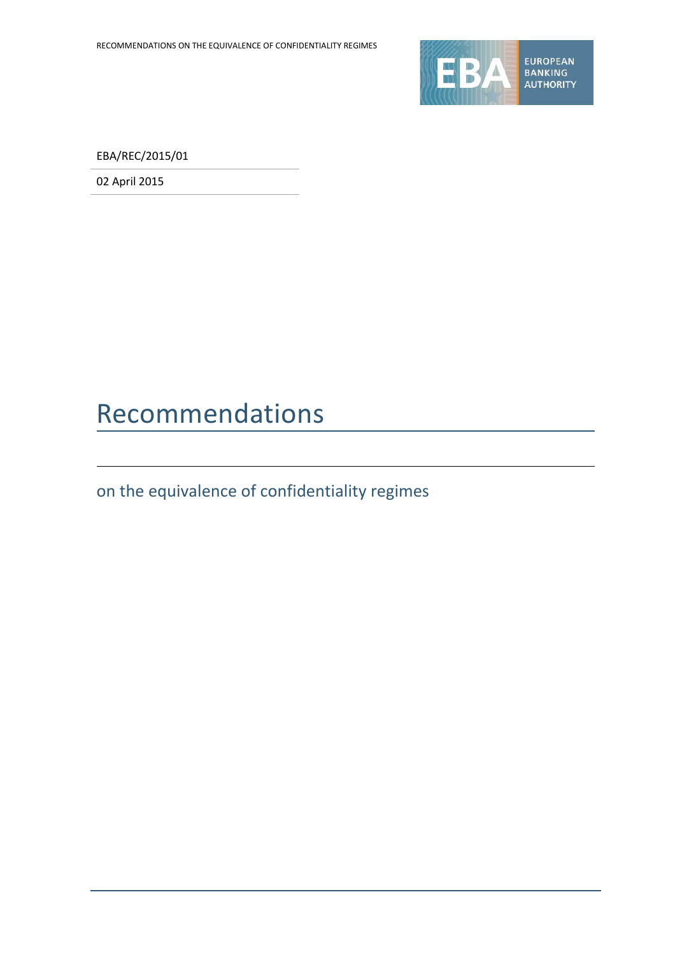

EBA/REC/2015/01

02 April 2015

### Recommendations

on the equivalence of confidentiality regimes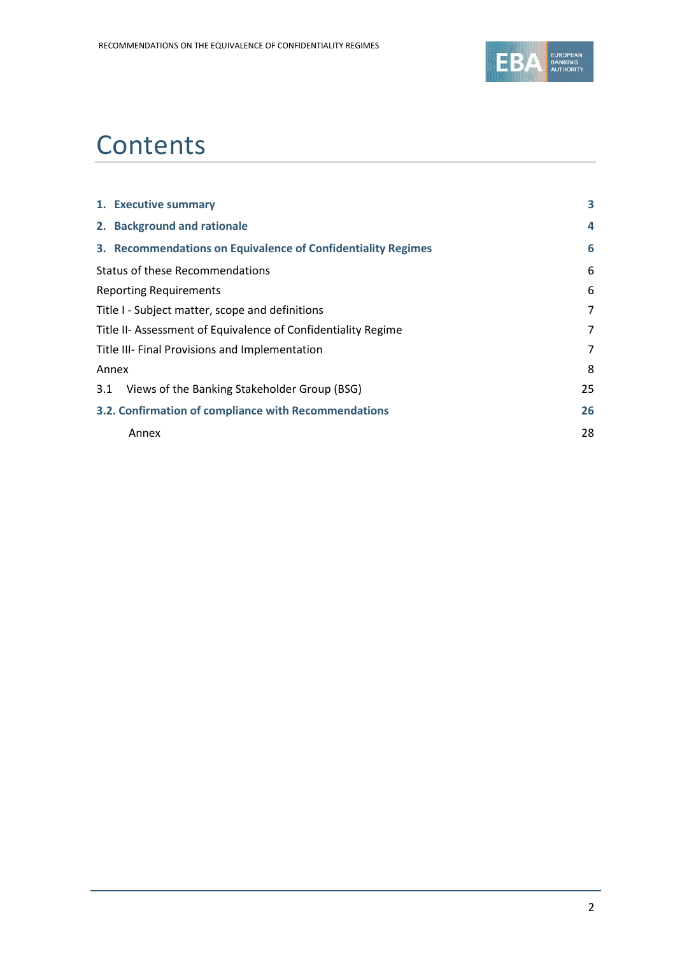

# **Contents**

|     | 1. Executive summary                                          | 3              |
|-----|---------------------------------------------------------------|----------------|
|     | 2. Background and rationale                                   | 4              |
|     | 3. Recommendations on Equivalence of Confidentiality Regimes  | 6              |
|     | <b>Status of these Recommendations</b>                        | 6              |
|     | <b>Reporting Requirements</b>                                 | 6              |
|     | Title I - Subject matter, scope and definitions               | $\overline{7}$ |
|     | Title II- Assessment of Equivalence of Confidentiality Regime | 7              |
|     | Title III- Final Provisions and Implementation                | 7              |
|     | Annex                                                         | 8              |
| 3.1 | Views of the Banking Stakeholder Group (BSG)                  | 25             |
|     | 3.2. Confirmation of compliance with Recommendations          | 26             |
|     | Annex                                                         | 28             |
|     |                                                               |                |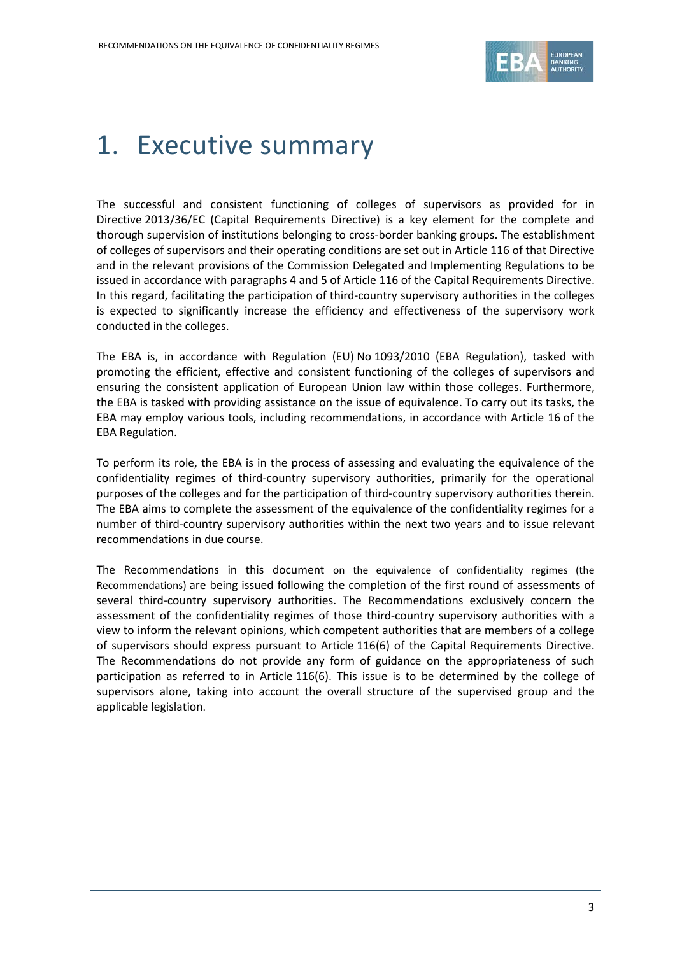

### 1. Executive summary

The successful and consistent functioning of colleges of supervisors as provided for in Directive 2013/36/EC (Capital Requirements Directive) is a key element for the complete and thorough supervision of institutions belonging to cross-border banking groups. The establishment of colleges of supervisors and their operating conditions are set out in Article 116 of that Directive and in the relevant provisions of the Commission Delegated and Implementing Regulations to be issued in accordance with paragraphs 4 and 5 of Article 116 of the Capital Requirements Directive. In this regard, facilitating the participation of third-country supervisory authorities in the colleges is expected to significantly increase the efficiency and effectiveness of the supervisory work conducted in the colleges.

The EBA is, in accordance with Regulation (EU) No 1093/2010 (EBA Regulation), tasked with promoting the efficient, effective and consistent functioning of the colleges of supervisors and ensuring the consistent application of European Union law within those colleges. Furthermore, the EBA is tasked with providing assistance on the issue of equivalence. To carry out its tasks, the EBA may employ various tools, including recommendations, in accordance with Article 16 of the EBA Regulation.

To perform its role, the EBA is in the process of assessing and evaluating the equivalence of the confidentiality regimes of third-country supervisory authorities, primarily for the operational purposes of the colleges and for the participation of third-country supervisory authorities therein. The EBA aims to complete the assessment of the equivalence of the confidentiality regimes for a number of third-country supervisory authorities within the next two years and to issue relevant recommendations in due course.

The Recommendations in this document on the equivalence of confidentiality regimes (the Recommendations) are being issued following the completion of the first round of assessments of several third-country supervisory authorities. The Recommendations exclusively concern the assessment of the confidentiality regimes of those third-country supervisory authorities with a view to inform the relevant opinions, which competent authorities that are members of a college of supervisors should express pursuant to Article 116(6) of the Capital Requirements Directive. The Recommendations do not provide any form of guidance on the appropriateness of such participation as referred to in Article 116(6). This issue is to be determined by the college of supervisors alone, taking into account the overall structure of the supervised group and the applicable legislation.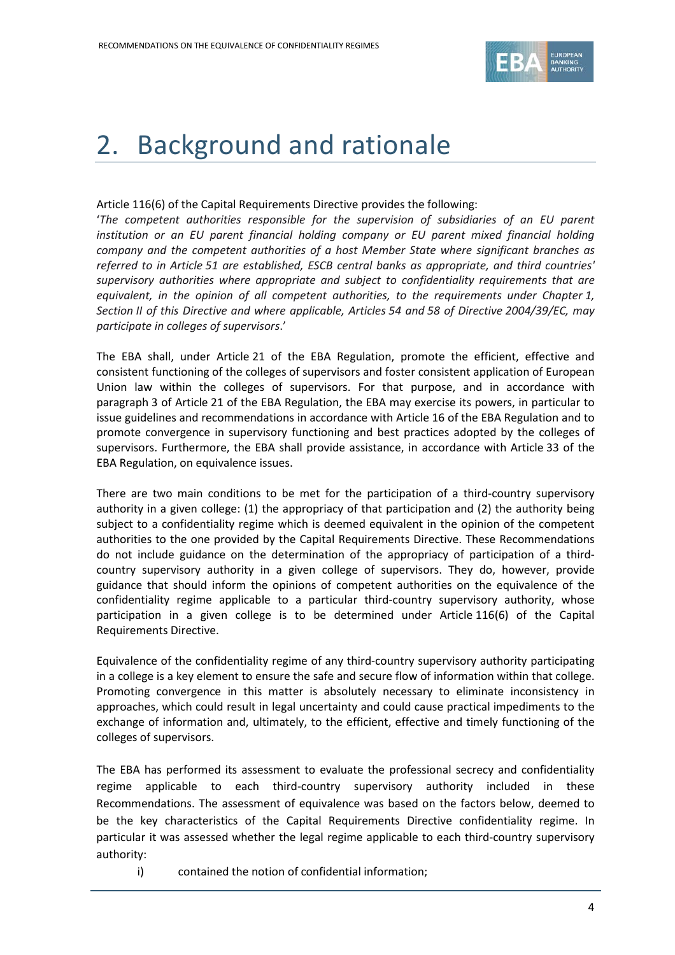

### 2. Background and rationale

#### Article 116(6) of the Capital Requirements Directive provides the following:

'*The competent authorities responsible for the supervision of subsidiaries of an EU parent institution or an EU parent financial holding company or EU parent mixed financial holding company and the competent authorities of a host Member State where significant branches as referred to in Article 51 are established, ESCB central banks as appropriate, and third countries' supervisory authorities where appropriate and subject to confidentiality requirements that are equivalent, in the opinion of all competent authorities, to the requirements under Chapter 1, Section II of this Directive and where applicable, Articles 54 and 58 of Directive 2004/39/EC, may participate in colleges of supervisors*.'

The EBA shall, under Article 21 of the EBA Regulation, promote the efficient, effective and consistent functioning of the colleges of supervisors and foster consistent application of European Union law within the colleges of supervisors. For that purpose, and in accordance with paragraph 3 of Article 21 of the EBA Regulation, the EBA may exercise its powers, in particular to issue guidelines and recommendations in accordance with Article 16 of the EBA Regulation and to promote convergence in supervisory functioning and best practices adopted by the colleges of supervisors. Furthermore, the EBA shall provide assistance, in accordance with Article 33 of the EBA Regulation, on equivalence issues.

There are two main conditions to be met for the participation of a third-country supervisory authority in a given college: (1) the appropriacy of that participation and (2) the authority being subject to a confidentiality regime which is deemed equivalent in the opinion of the competent authorities to the one provided by the Capital Requirements Directive. These Recommendations do not include guidance on the determination of the appropriacy of participation of a thirdcountry supervisory authority in a given college of supervisors. They do, however, provide guidance that should inform the opinions of competent authorities on the equivalence of the confidentiality regime applicable to a particular third-country supervisory authority, whose participation in a given college is to be determined under Article 116(6) of the Capital Requirements Directive.

Equivalence of the confidentiality regime of any third-country supervisory authority participating in a college is a key element to ensure the safe and secure flow of information within that college. Promoting convergence in this matter is absolutely necessary to eliminate inconsistency in approaches, which could result in legal uncertainty and could cause practical impediments to the exchange of information and, ultimately, to the efficient, effective and timely functioning of the colleges of supervisors.

The EBA has performed its assessment to evaluate the professional secrecy and confidentiality regime applicable to each third-country supervisory authority included in these Recommendations. The assessment of equivalence was based on the factors below, deemed to be the key characteristics of the Capital Requirements Directive confidentiality regime. In particular it was assessed whether the legal regime applicable to each third-country supervisory authority:

i) contained the notion of confidential information;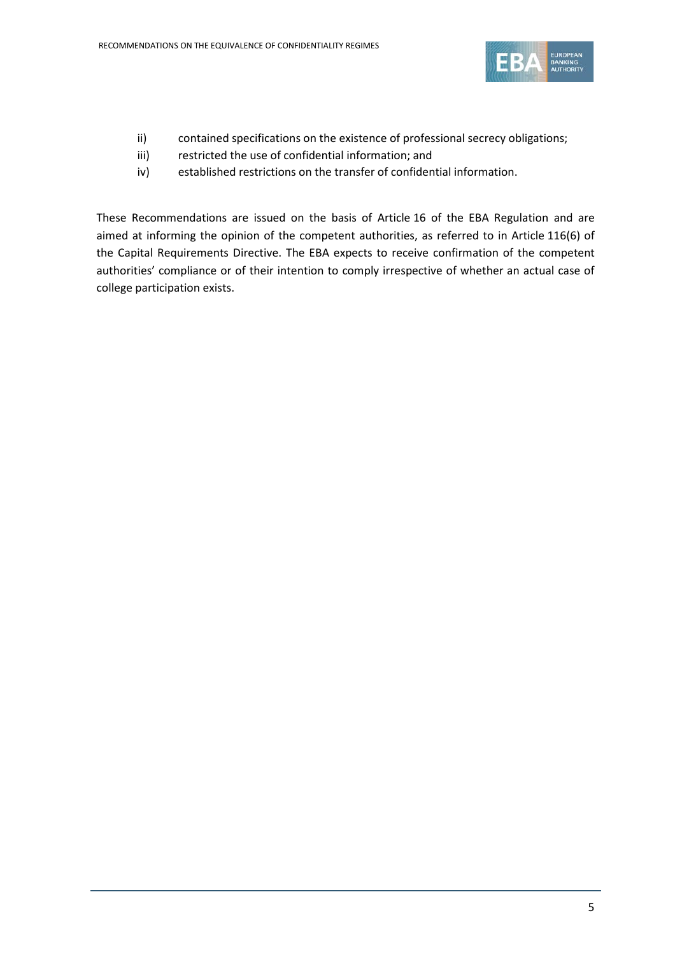

- ii) contained specifications on the existence of professional secrecy obligations;
- iii) restricted the use of confidential information; and
- iv) established restrictions on the transfer of confidential information.

These Recommendations are issued on the basis of Article 16 of the EBA Regulation and are aimed at informing the opinion of the competent authorities, as referred to in Article 116(6) of the Capital Requirements Directive. The EBA expects to receive confirmation of the competent authorities' compliance or of their intention to comply irrespective of whether an actual case of college participation exists.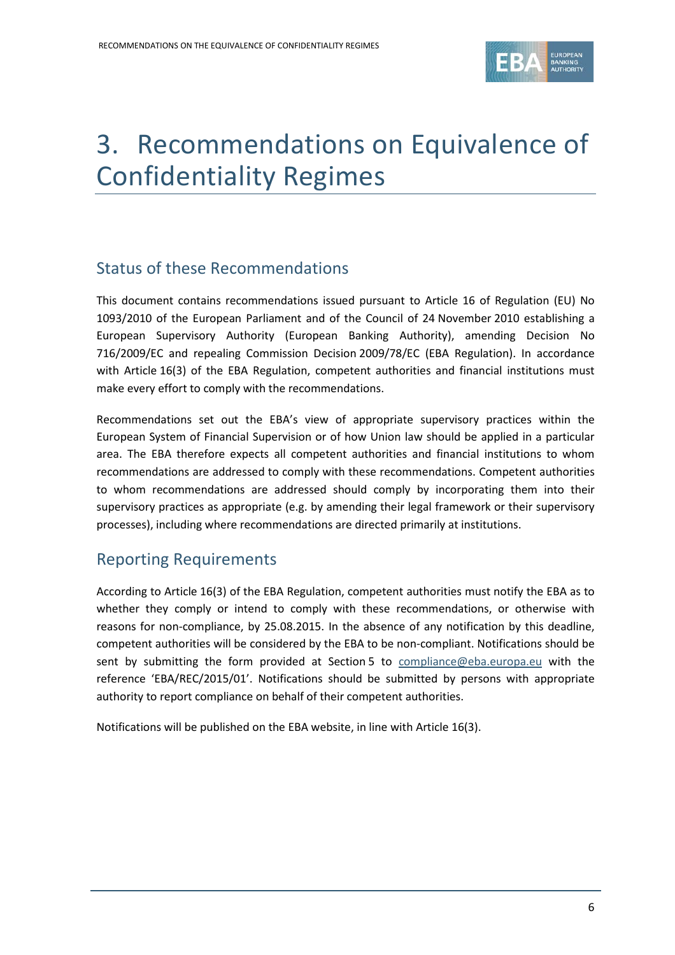

# 3. Recommendations on Equivalence of Confidentiality Regimes

#### Status of these Recommendations

This document contains recommendations issued pursuant to Article 16 of Regulation (EU) No 1093/2010 of the European Parliament and of the Council of 24 November 2010 establishing a European Supervisory Authority (European Banking Authority), amending Decision No 716/2009/EC and repealing Commission Decision 2009/78/EC (EBA Regulation). In accordance with Article 16(3) of the EBA Regulation, competent authorities and financial institutions must make every effort to comply with the recommendations.

Recommendations set out the EBA's view of appropriate supervisory practices within the European System of Financial Supervision or of how Union law should be applied in a particular area. The EBA therefore expects all competent authorities and financial institutions to whom recommendations are addressed to comply with these recommendations. Competent authorities to whom recommendations are addressed should comply by incorporating them into their supervisory practices as appropriate (e.g. by amending their legal framework or their supervisory processes), including where recommendations are directed primarily at institutions.

#### Reporting Requirements

According to Article 16(3) of the EBA Regulation, competent authorities must notify the EBA as to whether they comply or intend to comply with these recommendations, or otherwise with reasons for non-compliance, by 25.08.2015. In the absence of any notification by this deadline, competent authorities will be considered by the EBA to be non-compliant. Notifications should be sent by submitting the form provided at Section 5 to [compliance@eba.europa.eu](mailto:compliance@eba.europa.eu) with the reference 'EBA/REC/2015/01'. Notifications should be submitted by persons with appropriate authority to report compliance on behalf of their competent authorities.

Notifications will be published on the EBA website, in line with Article 16(3).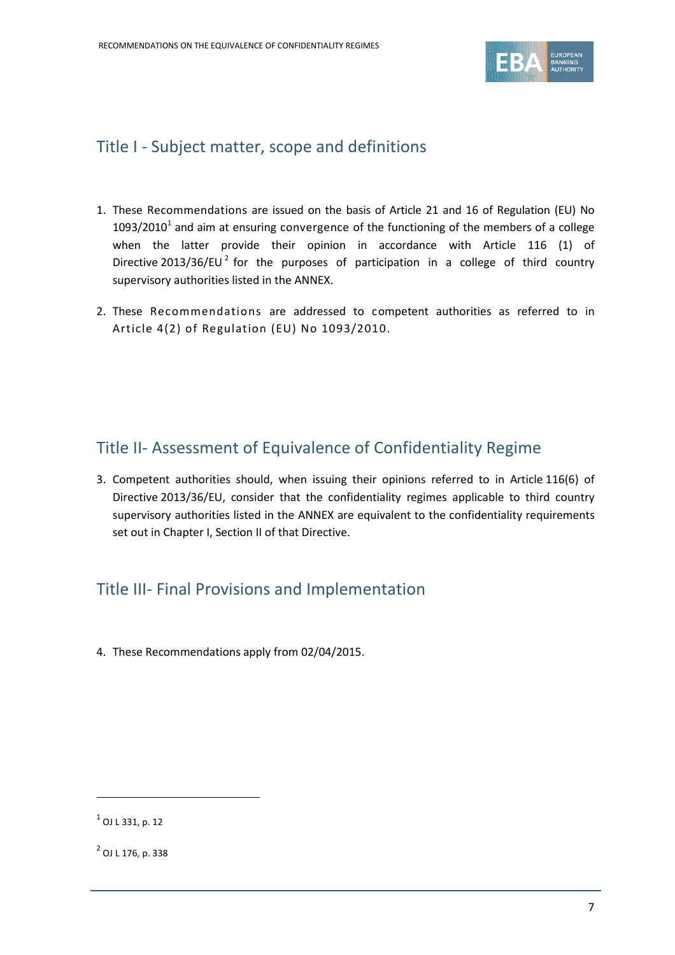

#### Title I - Subject matter, scope and definitions

- 1. These Recommendations are issued on the basis of Article 21 and 16 of Regulation (EU) No  $1093/2010<sup>1</sup>$  $1093/2010<sup>1</sup>$  and aim at ensuring convergence of the functioning of the members of a college when the latter provide their opinion in accordance with Article 116 (1) of Directive [2](#page-6-1)013/36/EU $^2$  for the purposes of participation in a college of third country supervisory authorities listed in the ANNEX.
- 2. These Recommendations are addressed to competent authorities as referred to in Article 4(2) of Regulation (EU) No 1093/2010.

#### Title II- Assessment of Equivalence of Confidentiality Regime

3. Competent authorities should, when issuing their opinions referred to in Article 116(6) of Directive 2013/36/EU, consider that the confidentiality regimes applicable to third country supervisory authorities listed in the ANNEX are equivalent to the confidentiality requirements set out in Chapter I, Section II of that Directive.

#### Title III- Final Provisions and Implementation

4. These Recommendations apply from 02/04/2015.

 $\overline{a}$ 

<span id="page-6-0"></span> $^{1}$  OJ L 331, p. 12

<span id="page-6-1"></span> $^{2}$  OJ L 176, p. 338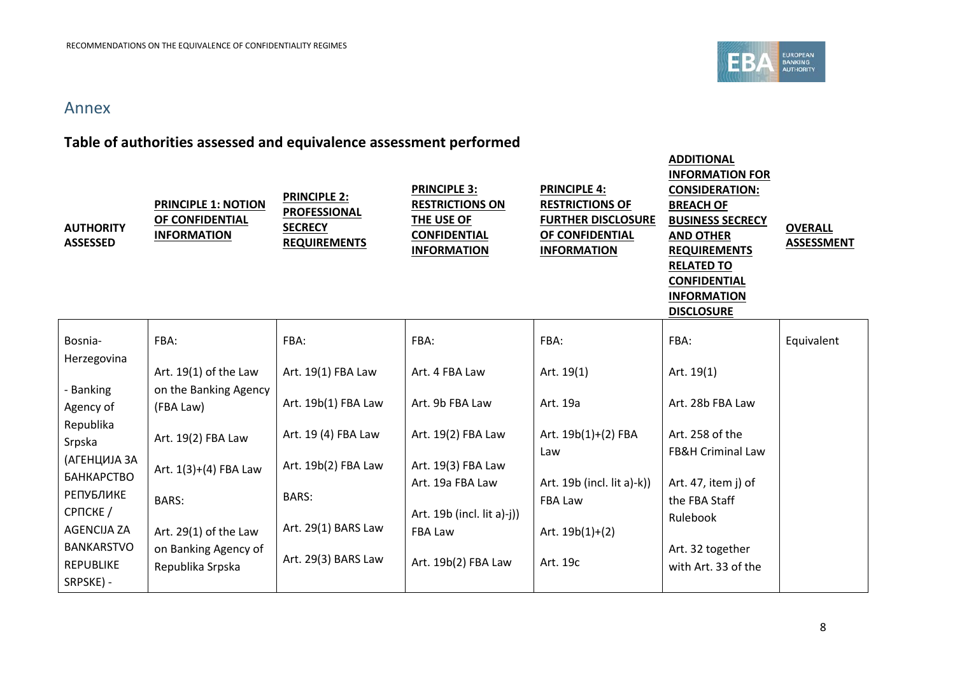

**ADDITIONAL** 

#### Annex

### **Table of authorities assessed and equivalence assessment performed**

| <b>AUTHORITY</b><br><b>ASSESSED</b>                | <b>PRINCIPLE 1: NOTION</b><br>OF CONFIDENTIAL<br><b>INFORMATION</b> | <b>PRINCIPLE 2:</b><br><b>PROFESSIONAL</b><br><b>SECRECY</b><br><b>REQUIREMENTS</b> | <b>PRINCIPLE 3:</b><br><b>RESTRICTIONS ON</b><br>THE USE OF<br><b>CONFIDENTIAL</b><br><b>INFORMATION</b> | <b>PRINCIPLE 4:</b><br><b>RESTRICTIONS OF</b><br><b>FURTHER DISCLOSURE</b><br>OF CONFIDENTIAL<br><b>INFORMATION</b> | ~~~~~~~~<br><b>INFORMATION FOR</b><br><b>CONSIDERATION:</b><br><b>BREACH OF</b><br><b>BUSINESS SECRECY</b><br><b>AND OTHER</b><br><b>REQUIREMENTS</b><br><b>RELATED TO</b><br><b>CONFIDENTIAL</b><br><b>INFORMATION</b><br><b>DISCLOSURE</b> | <b>OVERALL</b><br><b>ASSESSMENT</b> |
|----------------------------------------------------|---------------------------------------------------------------------|-------------------------------------------------------------------------------------|----------------------------------------------------------------------------------------------------------|---------------------------------------------------------------------------------------------------------------------|----------------------------------------------------------------------------------------------------------------------------------------------------------------------------------------------------------------------------------------------|-------------------------------------|
| Bosnia-                                            | FBA:                                                                | FBA:                                                                                | FBA:                                                                                                     | FBA:                                                                                                                | FBA:                                                                                                                                                                                                                                         | Equivalent                          |
| Herzegovina                                        | Art. $19(1)$ of the Law                                             | Art. 19(1) FBA Law                                                                  | Art. 4 FBA Law                                                                                           | Art. $19(1)$                                                                                                        | Art. 19(1)                                                                                                                                                                                                                                   |                                     |
| - Banking<br>Agency of                             | on the Banking Agency<br>(FBA Law)                                  | Art. 19b(1) FBA Law                                                                 | Art. 9b FBA Law                                                                                          | Art. 19a                                                                                                            | Art. 28b FBA Law                                                                                                                                                                                                                             |                                     |
| Republika<br>Srpska                                | Art. 19(2) FBA Law                                                  | Art. 19 (4) FBA Law                                                                 | Art. 19(2) FBA Law                                                                                       | Art. 19b(1)+(2) FBA<br>Law                                                                                          | Art. 258 of the<br><b>FB&amp;H Criminal Law</b>                                                                                                                                                                                              |                                     |
| (АГЕНЦИЈА ЗА<br><b>БАНКАРСТВО</b>                  | Art. 1(3)+(4) FBA Law                                               | Art. 19b(2) FBA Law                                                                 | Art. 19(3) FBA Law                                                                                       |                                                                                                                     |                                                                                                                                                                                                                                              |                                     |
| <b>РЕПУБЛИКЕ</b><br>CPNCKE /                       | <b>BARS:</b>                                                        | <b>BARS:</b>                                                                        | Art. 19a FBA Law<br>Art. 19b (incl. lit a)-j))                                                           | Art. 19b (incl. lit a)-k))<br>FBA Law                                                                               | Art. 47, item j) of<br>the FBA Staff<br>Rulebook                                                                                                                                                                                             |                                     |
| <b>AGENCIJA ZA</b>                                 | Art. $29(1)$ of the Law                                             | Art. 29(1) BARS Law                                                                 | FBA Law                                                                                                  | Art. $19b(1)+(2)$                                                                                                   |                                                                                                                                                                                                                                              |                                     |
| <b>BANKARSTVO</b><br><b>REPUBLIKE</b><br>SRPSKE) - | on Banking Agency of<br>Republika Srpska                            | Art. 29(3) BARS Law                                                                 | Art. 19b(2) FBA Law                                                                                      | Art. 19c                                                                                                            | Art. 32 together<br>with Art. 33 of the                                                                                                                                                                                                      |                                     |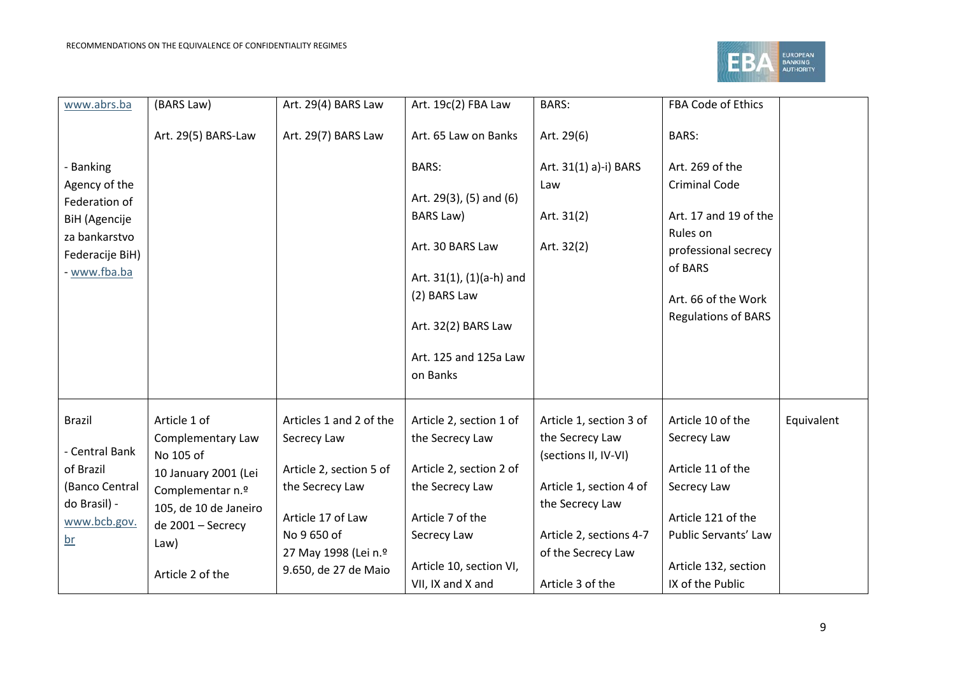

| www.abrs.ba                                      | (BARS Law)                        | Art. 29(4) BARS Law     | Art. 19c(2) FBA Law                           | <b>BARS:</b>            | FBA Code of Ethics                          |            |
|--------------------------------------------------|-----------------------------------|-------------------------|-----------------------------------------------|-------------------------|---------------------------------------------|------------|
|                                                  | Art. 29(5) BARS-Law               | Art. 29(7) BARS Law     | Art. 65 Law on Banks                          | Art. 29(6)              | <b>BARS:</b>                                |            |
| - Banking                                        |                                   |                         | <b>BARS:</b>                                  | Art. 31(1) a)-i) BARS   | Art. 269 of the                             |            |
| Agency of the                                    |                                   |                         | Art. $29(3)$ , $(5)$ and $(6)$                | Law                     | <b>Criminal Code</b>                        |            |
| Federation of<br>BiH (Agencije                   |                                   |                         | BARS Law)                                     | Art. $31(2)$            | Art. 17 and 19 of the                       |            |
| za bankarstvo<br>Federacije BiH)<br>- www.fba.ba |                                   |                         | Art. 30 BARS Law                              | Art. 32(2)              | Rules on<br>professional secrecy<br>of BARS |            |
|                                                  |                                   |                         | Art. $31(1)$ , $(1)(a-h)$ and<br>(2) BARS Law |                         | Art. 66 of the Work                         |            |
|                                                  |                                   |                         |                                               |                         | <b>Regulations of BARS</b>                  |            |
|                                                  |                                   |                         | Art. 32(2) BARS Law                           |                         |                                             |            |
|                                                  |                                   |                         | Art. 125 and 125a Law<br>on Banks             |                         |                                             |            |
| <b>Brazil</b>                                    | Article 1 of                      | Articles 1 and 2 of the | Article 2, section 1 of                       | Article 1, section 3 of | Article 10 of the                           | Equivalent |
| - Central Bank                                   | Complementary Law                 | Secrecy Law             | the Secrecy Law                               | the Secrecy Law         | Secrecy Law                                 |            |
| of Brazil                                        | No 105 of<br>10 January 2001 (Lei | Article 2, section 5 of | Article 2, section 2 of                       | (sections II, IV-VI)    | Article 11 of the                           |            |
| (Banco Central                                   | Complementar n.º                  | the Secrecy Law         | the Secrecy Law                               | Article 1, section 4 of | Secrecy Law                                 |            |
| do Brasil) -                                     | 105, de 10 de Janeiro             | Article 17 of Law       | Article 7 of the                              | the Secrecy Law         | Article 121 of the                          |            |
| www.bcb.gov.<br>$br$                             | de 2001 - Secrecy                 | No 9 650 of             | Secrecy Law                                   | Article 2, sections 4-7 | Public Servants' Law                        |            |
|                                                  | Law)                              | 27 May 1998 (Lei n.º    |                                               | of the Secrecy Law      |                                             |            |
|                                                  | Article 2 of the                  | 9.650, de 27 de Maio    | Article 10, section VI,                       |                         | Article 132, section                        |            |
|                                                  |                                   |                         | VII, IX and X and                             | Article 3 of the        | IX of the Public                            |            |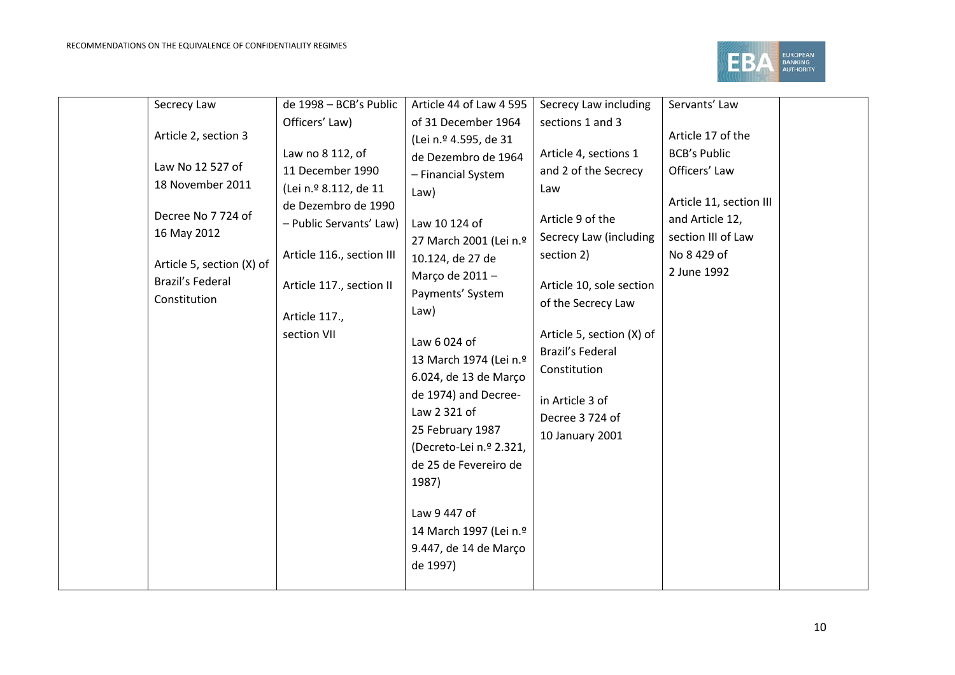

|  | Secrecy Law               | de 1998 - BCB's Public    | Article 44 of Law 4 595 | Secrecy Law including     | Servants' Law           |  |
|--|---------------------------|---------------------------|-------------------------|---------------------------|-------------------------|--|
|  |                           | Officers' Law)            | of 31 December 1964     | sections 1 and 3          |                         |  |
|  | Article 2, section 3      |                           | (Lei n.º 4.595, de 31   |                           | Article 17 of the       |  |
|  |                           | Law no 8 112, of          | de Dezembro de 1964     | Article 4, sections 1     | <b>BCB's Public</b>     |  |
|  | Law No 12 527 of          | 11 December 1990          | - Financial System      | and 2 of the Secrecy      | Officers' Law           |  |
|  | 18 November 2011          | (Lei n.º 8.112, de 11     | Law)                    | Law                       |                         |  |
|  | Decree No 7 724 of        | de Dezembro de 1990       |                         |                           | Article 11, section III |  |
|  |                           | - Public Servants' Law)   | Law 10 124 of           | Article 9 of the          | and Article 12,         |  |
|  | 16 May 2012               |                           | 27 March 2001 (Lei n.º  | Secrecy Law (including    | section III of Law      |  |
|  | Article 5, section (X) of | Article 116., section III | 10.124, de 27 de        | section 2)                | No 8 429 of             |  |
|  | <b>Brazil's Federal</b>   |                           | Março de 2011-          |                           | 2 June 1992             |  |
|  | Constitution              | Article 117., section II  | Payments' System        | Article 10, sole section  |                         |  |
|  |                           | Article 117.,             | Law)                    | of the Secrecy Law        |                         |  |
|  |                           | section VII               |                         | Article 5, section (X) of |                         |  |
|  |                           |                           | Law 6 024 of            | Brazil's Federal          |                         |  |
|  |                           |                           | 13 March 1974 (Lei n.º  | Constitution              |                         |  |
|  |                           |                           | 6.024, de 13 de Março   |                           |                         |  |
|  |                           |                           | de 1974) and Decree-    | in Article 3 of           |                         |  |
|  |                           |                           | Law 2 321 of            | Decree 3724 of            |                         |  |
|  |                           |                           | 25 February 1987        | 10 January 2001           |                         |  |
|  |                           |                           | (Decreto-Lei n.º 2.321, |                           |                         |  |
|  |                           |                           | de 25 de Fevereiro de   |                           |                         |  |
|  |                           |                           | 1987)                   |                           |                         |  |
|  |                           |                           |                         |                           |                         |  |
|  |                           |                           | Law 9 447 of            |                           |                         |  |
|  |                           |                           | 14 March 1997 (Lei n.º  |                           |                         |  |
|  |                           |                           | 9.447, de 14 de Março   |                           |                         |  |
|  |                           |                           | de 1997)                |                           |                         |  |
|  |                           |                           |                         |                           |                         |  |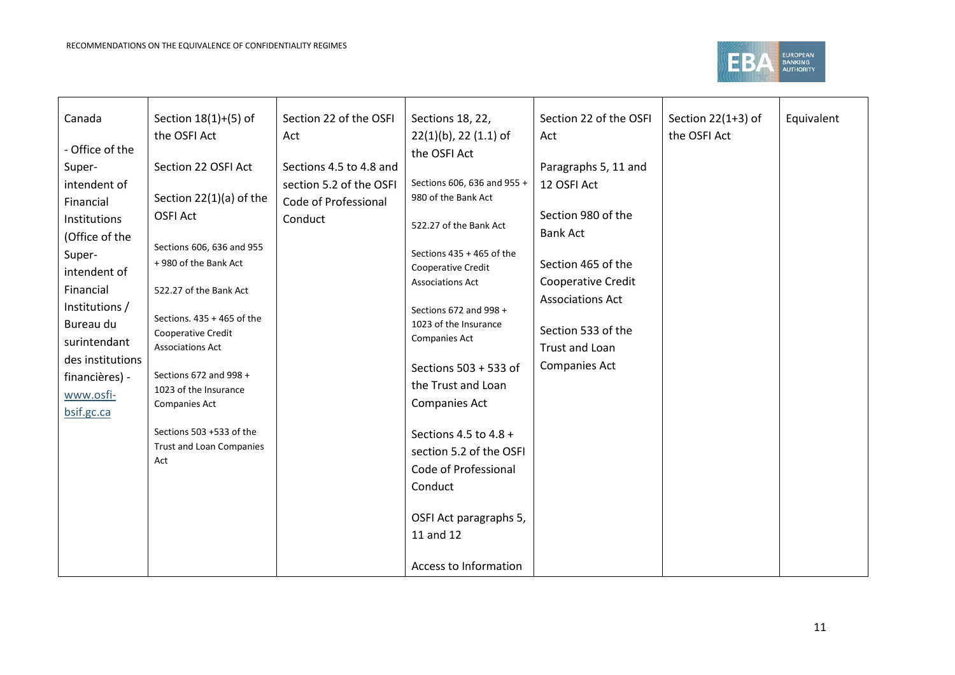

| Canada           | Section $18(1)+(5)$ of          | Section 22 of the OSFI  | Sections 18, 22,                              | Section 22 of the OSFI  | Section $22(1+3)$ of | Equivalent |
|------------------|---------------------------------|-------------------------|-----------------------------------------------|-------------------------|----------------------|------------|
|                  | the OSFI Act                    | Act                     | $22(1)(b)$ , 22 (1.1) of                      | Act                     | the OSFI Act         |            |
| - Office of the  |                                 |                         | the OSFI Act                                  |                         |                      |            |
| Super-           | Section 22 OSFI Act             | Sections 4.5 to 4.8 and |                                               | Paragraphs 5, 11 and    |                      |            |
| intendent of     |                                 | section 5.2 of the OSFI | Sections 606, 636 and 955 +                   | 12 OSFI Act             |                      |            |
| Financial        | Section 22(1)(a) of the         | Code of Professional    | 980 of the Bank Act                           |                         |                      |            |
| Institutions     | <b>OSFI Act</b>                 | Conduct                 | 522.27 of the Bank Act                        | Section 980 of the      |                      |            |
| (Office of the   |                                 |                         |                                               | <b>Bank Act</b>         |                      |            |
| Super-           | Sections 606, 636 and 955       |                         | Sections $435 + 465$ of the                   |                         |                      |            |
| intendent of     | +980 of the Bank Act            |                         | Cooperative Credit                            | Section 465 of the      |                      |            |
| Financial        |                                 |                         | <b>Associations Act</b>                       | Cooperative Credit      |                      |            |
|                  | 522.27 of the Bank Act          |                         |                                               | <b>Associations Act</b> |                      |            |
| Institutions /   | Sections. 435 + 465 of the      |                         | Sections 672 and 998 +                        |                         |                      |            |
| Bureau du        | Cooperative Credit              |                         | 1023 of the Insurance<br><b>Companies Act</b> | Section 533 of the      |                      |            |
| surintendant     | <b>Associations Act</b>         |                         |                                               | Trust and Loan          |                      |            |
| des institutions |                                 |                         | Sections 503 + 533 of                         | <b>Companies Act</b>    |                      |            |
| financières) -   | Sections 672 and 998 +          |                         | the Trust and Loan                            |                         |                      |            |
| www.osfi-        | 1023 of the Insurance           |                         | <b>Companies Act</b>                          |                         |                      |            |
| bsif.gc.ca       | Companies Act                   |                         |                                               |                         |                      |            |
|                  | Sections 503 +533 of the        |                         | Sections 4.5 to 4.8 +                         |                         |                      |            |
|                  | <b>Trust and Loan Companies</b> |                         | section 5.2 of the OSFI                       |                         |                      |            |
|                  | Act                             |                         |                                               |                         |                      |            |
|                  |                                 |                         | Code of Professional                          |                         |                      |            |
|                  |                                 |                         | Conduct                                       |                         |                      |            |
|                  |                                 |                         |                                               |                         |                      |            |
|                  |                                 |                         | OSFI Act paragraphs 5,                        |                         |                      |            |
|                  |                                 |                         | 11 and 12                                     |                         |                      |            |
|                  |                                 |                         |                                               |                         |                      |            |
|                  |                                 |                         | Access to Information                         |                         |                      |            |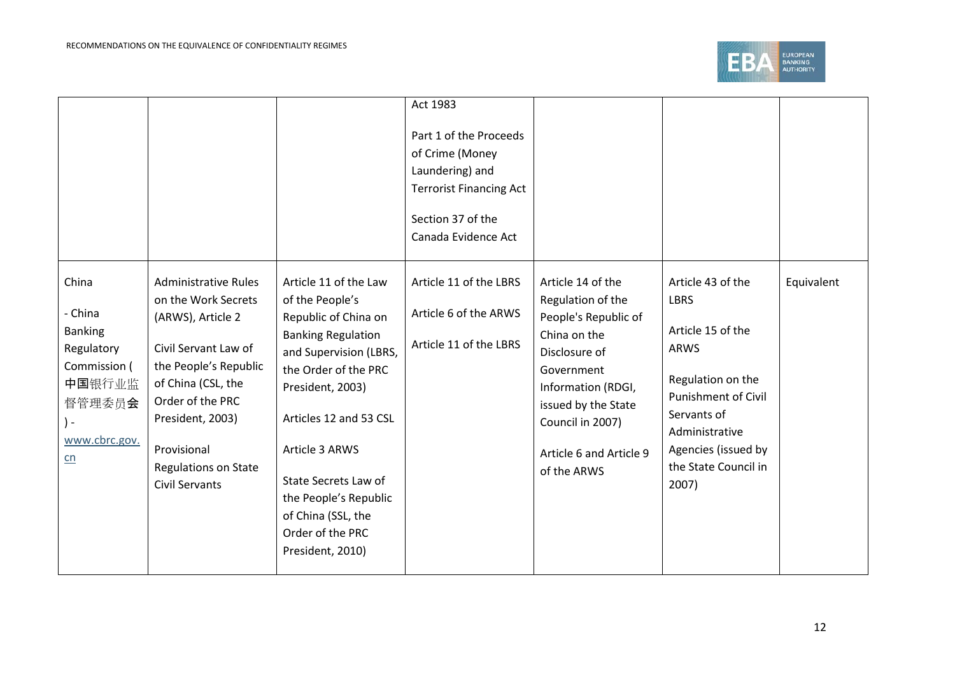

|                |                             |                           | Act 1983                       |                         |                            |            |
|----------------|-----------------------------|---------------------------|--------------------------------|-------------------------|----------------------------|------------|
|                |                             |                           | Part 1 of the Proceeds         |                         |                            |            |
|                |                             |                           | of Crime (Money                |                         |                            |            |
|                |                             |                           | Laundering) and                |                         |                            |            |
|                |                             |                           | <b>Terrorist Financing Act</b> |                         |                            |            |
|                |                             |                           | Section 37 of the              |                         |                            |            |
|                |                             |                           | Canada Evidence Act            |                         |                            |            |
| China          | <b>Administrative Rules</b> | Article 11 of the Law     | Article 11 of the LBRS         | Article 14 of the       | Article 43 of the          | Equivalent |
|                | on the Work Secrets         | of the People's           |                                | Regulation of the       | <b>LBRS</b>                |            |
| China          | (ARWS), Article 2           | Republic of China on      | Article 6 of the ARWS          | People's Republic of    |                            |            |
| <b>Banking</b> |                             | <b>Banking Regulation</b> |                                | China on the            | Article 15 of the          |            |
| Regulatory     | Civil Servant Law of        | and Supervision (LBRS,    | Article 11 of the LBRS         | Disclosure of           | <b>ARWS</b>                |            |
| Commission (   | the People's Republic       | the Order of the PRC      |                                | Government              |                            |            |
| 中国银行业监         | of China (CSL, the          | President, 2003)          |                                | Information (RDGI,      | Regulation on the          |            |
| 督管理委员会         | Order of the PRC            |                           |                                | issued by the State     | <b>Punishment of Civil</b> |            |
|                | President, 2003)            | Articles 12 and 53 CSL    |                                | Council in 2007)        | Servants of                |            |
| www.cbrc.gov.  |                             |                           |                                |                         | Administrative             |            |
| $n_{n}$        | Provisional                 | Article 3 ARWS            |                                | Article 6 and Article 9 | Agencies (issued by        |            |
|                | <b>Regulations on State</b> | State Secrets Law of      |                                | of the ARWS             | the State Council in       |            |
|                | <b>Civil Servants</b>       | the People's Republic     |                                |                         | 2007)                      |            |
|                |                             | of China (SSL, the        |                                |                         |                            |            |
|                |                             | Order of the PRC          |                                |                         |                            |            |
|                |                             | President, 2010)          |                                |                         |                            |            |
|                |                             |                           |                                |                         |                            |            |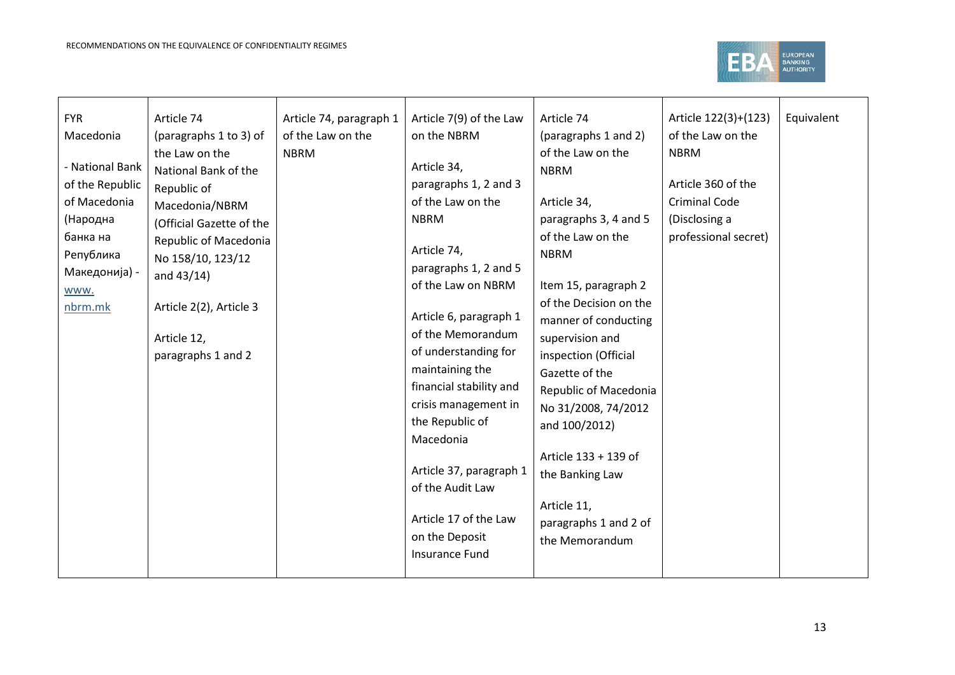

| <b>FYR</b>      | Article 74               | Article 74, paragraph 1 | Article 7(9) of the Law | Article 74             | Article 122(3)+(123) | Equivalent |
|-----------------|--------------------------|-------------------------|-------------------------|------------------------|----------------------|------------|
| Macedonia       | (paragraphs 1 to 3) of   | of the Law on the       | on the NBRM             | (paragraphs 1 and 2)   | of the Law on the    |            |
|                 | the Law on the           | <b>NBRM</b>             |                         | of the Law on the      | <b>NBRM</b>          |            |
| - National Bank | National Bank of the     |                         | Article 34,             | <b>NBRM</b>            |                      |            |
| of the Republic | Republic of              |                         | paragraphs 1, 2 and 3   |                        | Article 360 of the   |            |
| of Macedonia    | Macedonia/NBRM           |                         | of the Law on the       | Article 34,            | <b>Criminal Code</b> |            |
| (Народна        | (Official Gazette of the |                         | <b>NBRM</b>             | paragraphs 3, 4 and 5  | (Disclosing a        |            |
| банка на        | Republic of Macedonia    |                         |                         | of the Law on the      | professional secret) |            |
| Република       | No 158/10, 123/12        |                         | Article 74,             | <b>NBRM</b>            |                      |            |
| Македонија) -   | and $43/14$ )            |                         | paragraphs 1, 2 and 5   |                        |                      |            |
| www.            |                          |                         | of the Law on NBRM      | Item 15, paragraph 2   |                      |            |
| nbrm.mk         | Article 2(2), Article 3  |                         |                         | of the Decision on the |                      |            |
|                 |                          |                         | Article 6, paragraph 1  | manner of conducting   |                      |            |
|                 | Article 12,              |                         | of the Memorandum       | supervision and        |                      |            |
|                 | paragraphs 1 and 2       |                         | of understanding for    | inspection (Official   |                      |            |
|                 |                          |                         | maintaining the         | Gazette of the         |                      |            |
|                 |                          |                         | financial stability and | Republic of Macedonia  |                      |            |
|                 |                          |                         | crisis management in    | No 31/2008, 74/2012    |                      |            |
|                 |                          |                         | the Republic of         | and 100/2012)          |                      |            |
|                 |                          |                         | Macedonia               |                        |                      |            |
|                 |                          |                         |                         | Article 133 + 139 of   |                      |            |
|                 |                          |                         | Article 37, paragraph 1 | the Banking Law        |                      |            |
|                 |                          |                         | of the Audit Law        |                        |                      |            |
|                 |                          |                         |                         | Article 11,            |                      |            |
|                 |                          |                         | Article 17 of the Law   | paragraphs 1 and 2 of  |                      |            |
|                 |                          |                         | on the Deposit          | the Memorandum         |                      |            |
|                 |                          |                         | <b>Insurance Fund</b>   |                        |                      |            |
|                 |                          |                         |                         |                        |                      |            |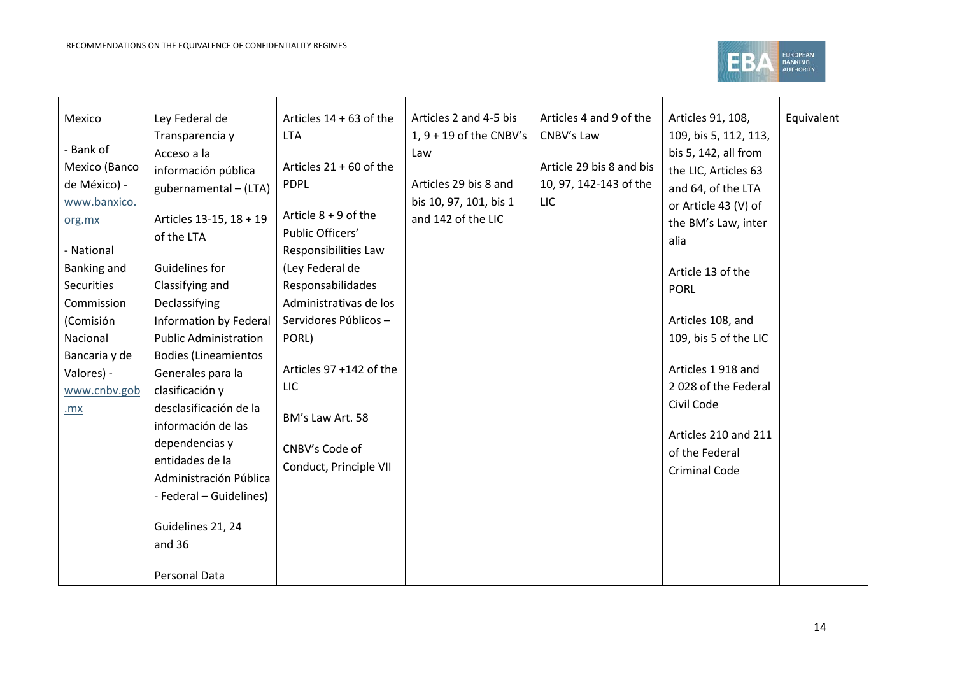

| Mexico            | Ley Federal de               | Articles $14 + 63$ of the | Articles 2 and 4-5 bis    | Articles 4 and 9 of the  | Articles 91, 108,     | Equivalent |
|-------------------|------------------------------|---------------------------|---------------------------|--------------------------|-----------------------|------------|
|                   | Transparencia y              | <b>LTA</b>                | $1, 9 + 19$ of the CNBV's | CNBV's Law               | 109, bis 5, 112, 113, |            |
| - Bank of         | Acceso a la                  |                           | Law                       |                          | bis 5, 142, all from  |            |
| Mexico (Banco     | información pública          | Articles $21 + 60$ of the |                           | Article 29 bis 8 and bis | the LIC, Articles 63  |            |
| de México) -      | gubernamental - (LTA)        | <b>PDPL</b>               | Articles 29 bis 8 and     | 10, 97, 142-143 of the   | and 64, of the LTA    |            |
| www.banxico.      |                              |                           | bis 10, 97, 101, bis 1    | <b>LIC</b>               | or Article 43 (V) of  |            |
| org.mx            | Articles 13-15, 18 + 19      | Article $8 + 9$ of the    | and 142 of the LIC        |                          | the BM's Law, inter   |            |
|                   | of the LTA                   | Public Officers'          |                           |                          | alia                  |            |
| - National        |                              | Responsibilities Law      |                           |                          |                       |            |
| Banking and       | Guidelines for               | (Ley Federal de           |                           |                          | Article 13 of the     |            |
| <b>Securities</b> | Classifying and              | Responsabilidades         |                           |                          | <b>PORL</b>           |            |
| Commission        | Declassifying                | Administrativas de los    |                           |                          |                       |            |
| (Comisión         | Information by Federal       | Servidores Públicos -     |                           |                          | Articles 108, and     |            |
| Nacional          | <b>Public Administration</b> | PORL)                     |                           |                          | 109, bis 5 of the LIC |            |
| Bancaria y de     | <b>Bodies (Lineamientos</b>  |                           |                           |                          |                       |            |
| Valores) -        | Generales para la            | Articles 97 +142 of the   |                           |                          | Articles 1918 and     |            |
| www.cnbv.gob      | clasificación y              | LIC                       |                           |                          | 2028 of the Federal   |            |
| .mx               | desclasificación de la       |                           |                           |                          | Civil Code            |            |
|                   | información de las           | BM's Law Art. 58          |                           |                          |                       |            |
|                   | dependencias y               | CNBV's Code of            |                           |                          | Articles 210 and 211  |            |
|                   | entidades de la              |                           |                           |                          | of the Federal        |            |
|                   | Administración Pública       | Conduct, Principle VII    |                           |                          | <b>Criminal Code</b>  |            |
|                   | - Federal - Guidelines)      |                           |                           |                          |                       |            |
|                   |                              |                           |                           |                          |                       |            |
|                   | Guidelines 21, 24            |                           |                           |                          |                       |            |
|                   | and 36                       |                           |                           |                          |                       |            |
|                   |                              |                           |                           |                          |                       |            |
|                   | Personal Data                |                           |                           |                          |                       |            |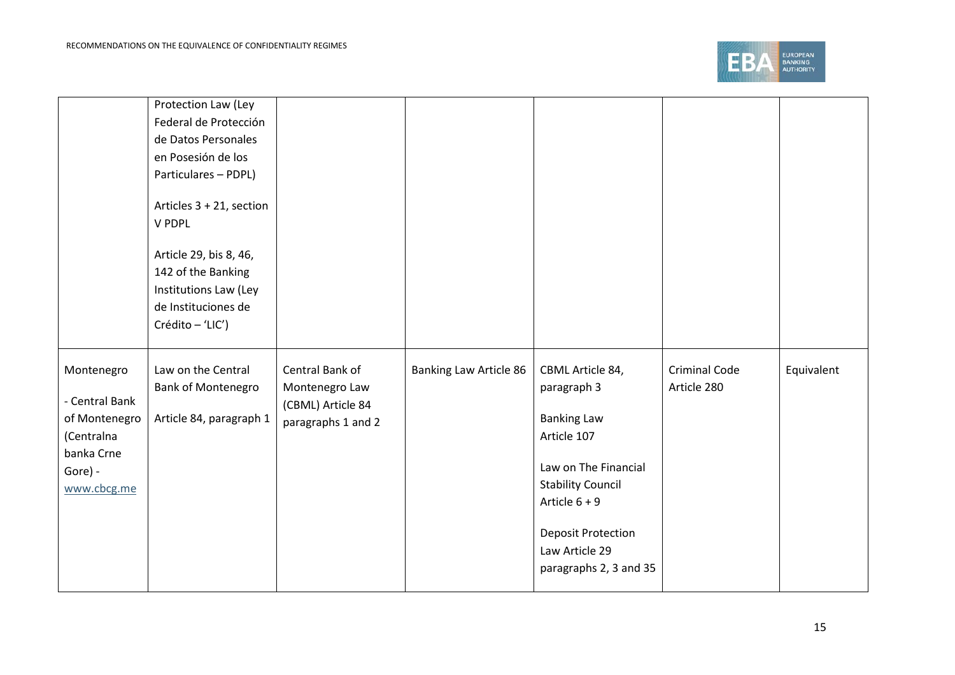

|                                                                                                     | Protection Law (Ley<br>Federal de Protección<br>de Datos Personales<br>en Posesión de los<br>Particulares - PDPL)<br>Articles 3 + 21, section<br>V PDPL<br>Article 29, bis 8, 46,<br>142 of the Banking<br>Institutions Law (Ley<br>de Instituciones de<br>Crédito - 'LIC') |                                                                              |                               |                                                                                                                                                                                                                      |                                     |            |
|-----------------------------------------------------------------------------------------------------|-----------------------------------------------------------------------------------------------------------------------------------------------------------------------------------------------------------------------------------------------------------------------------|------------------------------------------------------------------------------|-------------------------------|----------------------------------------------------------------------------------------------------------------------------------------------------------------------------------------------------------------------|-------------------------------------|------------|
| Montenegro<br>- Central Bank<br>of Montenegro<br>(Centralna<br>banka Crne<br>Gore) -<br>www.cbcg.me | Law on the Central<br><b>Bank of Montenegro</b><br>Article 84, paragraph 1                                                                                                                                                                                                  | Central Bank of<br>Montenegro Law<br>(CBML) Article 84<br>paragraphs 1 and 2 | <b>Banking Law Article 86</b> | CBML Article 84,<br>paragraph 3<br><b>Banking Law</b><br>Article 107<br>Law on The Financial<br><b>Stability Council</b><br>Article $6 + 9$<br><b>Deposit Protection</b><br>Law Article 29<br>paragraphs 2, 3 and 35 | <b>Criminal Code</b><br>Article 280 | Equivalent |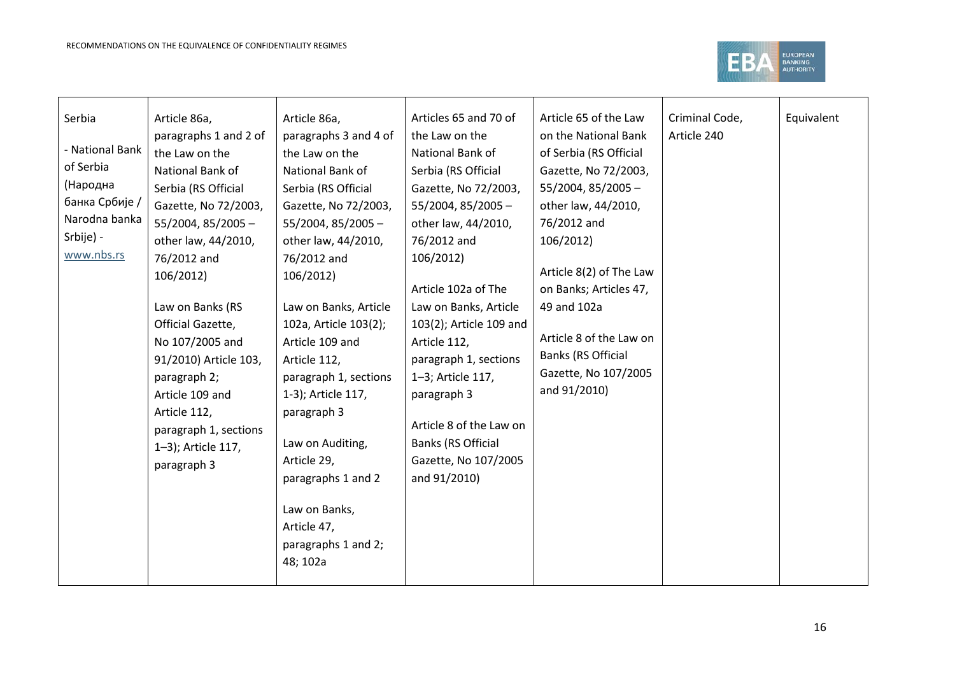

| Serbia          | Article 86a,          | Article 86a,          | Articles 65 and 70 of   | Article 65 of the Law     | Criminal Code, | Equivalent |
|-----------------|-----------------------|-----------------------|-------------------------|---------------------------|----------------|------------|
|                 | paragraphs 1 and 2 of | paragraphs 3 and 4 of | the Law on the          | on the National Bank      | Article 240    |            |
| - National Bank | the Law on the        | the Law on the        | National Bank of        | of Serbia (RS Official    |                |            |
| of Serbia       | National Bank of      | National Bank of      | Serbia (RS Official     | Gazette, No 72/2003,      |                |            |
| (Народна        | Serbia (RS Official   | Serbia (RS Official   | Gazette, No 72/2003,    | $55/2004$ , 85/2005 -     |                |            |
| банка Србије /  | Gazette, No 72/2003,  | Gazette, No 72/2003,  | $55/2004$ , 85/2005 -   | other law, 44/2010,       |                |            |
| Narodna banka   | $55/2004$ , 85/2005 - | $55/2004$ , 85/2005 - | other law, 44/2010,     | 76/2012 and               |                |            |
| Srbije) -       | other law, 44/2010,   | other law, 44/2010,   | 76/2012 and             | 106/2012)                 |                |            |
| www.nbs.rs      | 76/2012 and           | 76/2012 and           | 106/2012)               |                           |                |            |
|                 | 106/2012)             | 106/2012)             |                         | Article 8(2) of The Law   |                |            |
|                 |                       |                       | Article 102a of The     | on Banks; Articles 47,    |                |            |
|                 | Law on Banks (RS      | Law on Banks, Article | Law on Banks, Article   | 49 and 102a               |                |            |
|                 | Official Gazette,     | 102a, Article 103(2); | 103(2); Article 109 and |                           |                |            |
|                 | No 107/2005 and       | Article 109 and       | Article 112,            | Article 8 of the Law on   |                |            |
|                 | 91/2010) Article 103, | Article 112,          | paragraph 1, sections   | <b>Banks (RS Official</b> |                |            |
|                 | paragraph 2;          | paragraph 1, sections | 1-3; Article 117,       | Gazette, No 107/2005      |                |            |
|                 | Article 109 and       | 1-3); Article 117,    | paragraph 3             | and 91/2010)              |                |            |
|                 | Article 112,          | paragraph 3           |                         |                           |                |            |
|                 | paragraph 1, sections |                       | Article 8 of the Law on |                           |                |            |
|                 | 1-3); Article 117,    | Law on Auditing,      | Banks (RS Official      |                           |                |            |
|                 | paragraph 3           | Article 29,           | Gazette, No 107/2005    |                           |                |            |
|                 |                       | paragraphs 1 and 2    | and 91/2010)            |                           |                |            |
|                 |                       |                       |                         |                           |                |            |
|                 |                       | Law on Banks,         |                         |                           |                |            |
|                 |                       | Article 47,           |                         |                           |                |            |
|                 |                       | paragraphs 1 and 2;   |                         |                           |                |            |
|                 |                       | 48; 102a              |                         |                           |                |            |
|                 |                       |                       |                         |                           |                |            |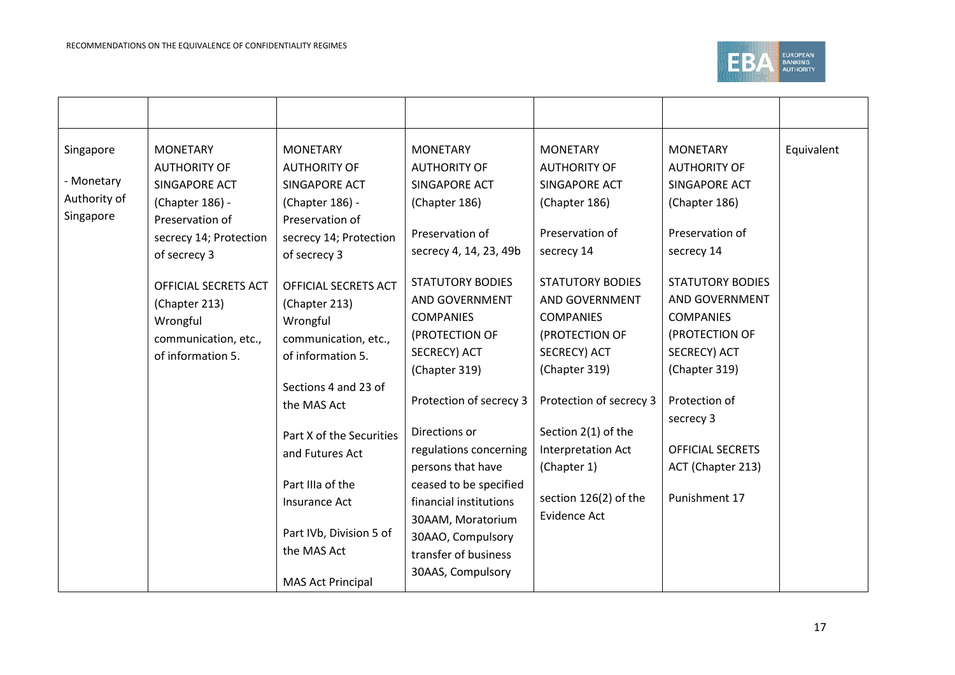

| Singapore<br>- Monetary<br>Authority of<br>Singapore | <b>MONETARY</b><br><b>AUTHORITY OF</b><br>SINGAPORE ACT<br>(Chapter 186) -<br>Preservation of<br>secrecy 14; Protection<br>of secrecy 3 | <b>MONETARY</b><br><b>AUTHORITY OF</b><br>SINGAPORE ACT<br>(Chapter 186) -<br>Preservation of<br>secrecy 14; Protection<br>of secrecy 3 | <b>MONETARY</b><br><b>AUTHORITY OF</b><br>SINGAPORE ACT<br>(Chapter 186)<br>Preservation of<br>secrecy 4, 14, 23, 49b | <b>MONETARY</b><br><b>AUTHORITY OF</b><br>SINGAPORE ACT<br>(Chapter 186)<br>Preservation of<br>secrecy 14               | <b>MONETARY</b><br><b>AUTHORITY OF</b><br>SINGAPORE ACT<br>(Chapter 186)<br>Preservation of<br>secrecy 14               | Equivalent |
|------------------------------------------------------|-----------------------------------------------------------------------------------------------------------------------------------------|-----------------------------------------------------------------------------------------------------------------------------------------|-----------------------------------------------------------------------------------------------------------------------|-------------------------------------------------------------------------------------------------------------------------|-------------------------------------------------------------------------------------------------------------------------|------------|
|                                                      | <b>OFFICIAL SECRETS ACT</b><br>(Chapter 213)<br>Wrongful<br>communication, etc.,<br>of information 5.                                   | OFFICIAL SECRETS ACT<br>(Chapter 213)<br>Wrongful<br>communication, etc.,<br>of information 5.                                          | <b>STATUTORY BODIES</b><br>AND GOVERNMENT<br><b>COMPANIES</b><br>(PROTECTION OF<br>SECRECY) ACT<br>(Chapter 319)      | <b>STATUTORY BODIES</b><br>AND GOVERNMENT<br><b>COMPANIES</b><br>(PROTECTION OF<br><b>SECRECY) ACT</b><br>(Chapter 319) | <b>STATUTORY BODIES</b><br>AND GOVERNMENT<br><b>COMPANIES</b><br>(PROTECTION OF<br><b>SECRECY) ACT</b><br>(Chapter 319) |            |
|                                                      |                                                                                                                                         | Sections 4 and 23 of<br>the MAS Act                                                                                                     | Protection of secrecy 3                                                                                               | Protection of secrecy 3                                                                                                 | Protection of<br>secrecy 3                                                                                              |            |
|                                                      |                                                                                                                                         | Part X of the Securities<br>and Futures Act<br>Part IIIa of the                                                                         | Directions or<br>regulations concerning<br>persons that have<br>ceased to be specified                                | Section 2(1) of the<br>Interpretation Act<br>(Chapter 1)<br>section 126(2) of the                                       | <b>OFFICIAL SECRETS</b><br>ACT (Chapter 213)<br>Punishment 17                                                           |            |
|                                                      |                                                                                                                                         | Insurance Act<br>Part IVb, Division 5 of<br>the MAS Act<br><b>MAS Act Principal</b>                                                     | financial institutions<br>30AAM, Moratorium<br>30AAO, Compulsory<br>transfer of business<br>30AAS, Compulsory         | <b>Evidence Act</b>                                                                                                     |                                                                                                                         |            |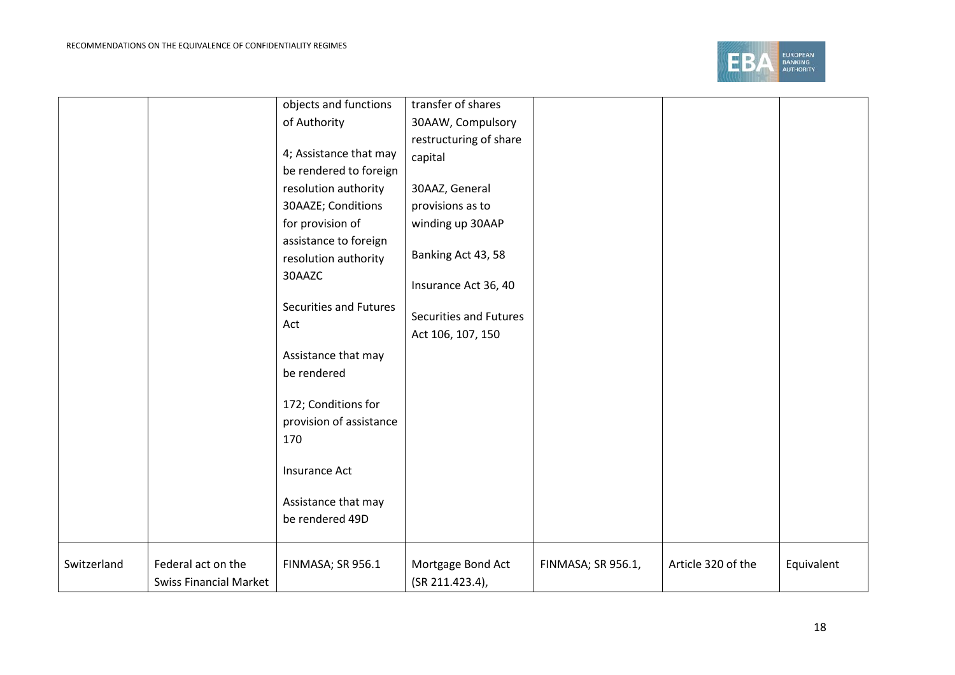

|             |                               | objects and functions   | transfer of shares     |                    |                    |            |
|-------------|-------------------------------|-------------------------|------------------------|--------------------|--------------------|------------|
|             |                               | of Authority            | 30AAW, Compulsory      |                    |                    |            |
|             |                               |                         | restructuring of share |                    |                    |            |
|             |                               | 4; Assistance that may  | capital                |                    |                    |            |
|             |                               | be rendered to foreign  |                        |                    |                    |            |
|             |                               | resolution authority    | 30AAZ, General         |                    |                    |            |
|             |                               | 30AAZE; Conditions      | provisions as to       |                    |                    |            |
|             |                               | for provision of        | winding up 30AAP       |                    |                    |            |
|             |                               | assistance to foreign   |                        |                    |                    |            |
|             |                               | resolution authority    | Banking Act 43, 58     |                    |                    |            |
|             |                               | 30AAZC                  | Insurance Act 36, 40   |                    |                    |            |
|             |                               | Securities and Futures  | Securities and Futures |                    |                    |            |
|             |                               | Act                     |                        |                    |                    |            |
|             |                               |                         | Act 106, 107, 150      |                    |                    |            |
|             |                               | Assistance that may     |                        |                    |                    |            |
|             |                               | be rendered             |                        |                    |                    |            |
|             |                               | 172; Conditions for     |                        |                    |                    |            |
|             |                               | provision of assistance |                        |                    |                    |            |
|             |                               | 170                     |                        |                    |                    |            |
|             |                               | Insurance Act           |                        |                    |                    |            |
|             |                               | Assistance that may     |                        |                    |                    |            |
|             |                               | be rendered 49D         |                        |                    |                    |            |
| Switzerland | Federal act on the            | FINMASA; SR 956.1       | Mortgage Bond Act      | FINMASA; SR 956.1, | Article 320 of the | Equivalent |
|             | <b>Swiss Financial Market</b> |                         | (SR 211.423.4),        |                    |                    |            |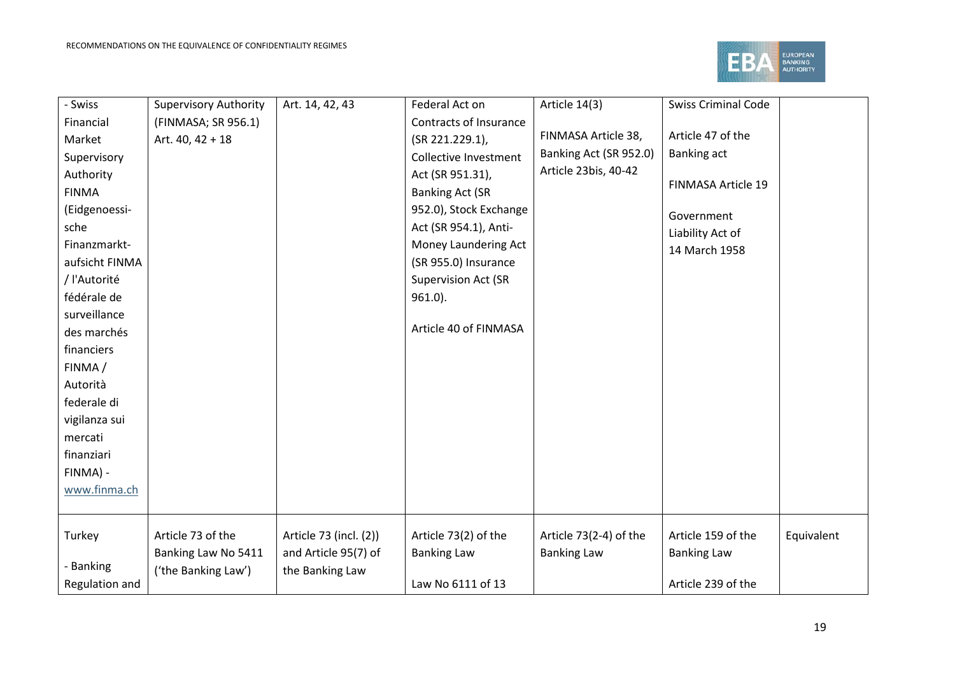

| - Swiss        | <b>Supervisory Authority</b> | Art. 14, 42, 43        | Federal Act on             | Article 14(3)          | <b>Swiss Criminal Code</b> |            |
|----------------|------------------------------|------------------------|----------------------------|------------------------|----------------------------|------------|
| Financial      | (FINMASA; SR 956.1)          |                        | Contracts of Insurance     |                        |                            |            |
| Market         | Art. 40, 42 + 18             |                        | (SR 221.229.1),            | FINMASA Article 38,    | Article 47 of the          |            |
| Supervisory    |                              |                        | Collective Investment      | Banking Act (SR 952.0) | Banking act                |            |
| Authority      |                              |                        | Act (SR 951.31),           | Article 23bis, 40-42   | FINMASA Article 19         |            |
| <b>FINMA</b>   |                              |                        | <b>Banking Act (SR</b>     |                        |                            |            |
| (Eidgenoessi-  |                              |                        | 952.0), Stock Exchange     |                        | Government                 |            |
| sche           |                              |                        | Act (SR 954.1), Anti-      |                        | Liability Act of           |            |
| Finanzmarkt-   |                              |                        | Money Laundering Act       |                        | 14 March 1958              |            |
| aufsicht FINMA |                              |                        | (SR 955.0) Insurance       |                        |                            |            |
| / l'Autorité   |                              |                        | <b>Supervision Act (SR</b> |                        |                            |            |
| fédérale de    |                              |                        | $961.0$ ).                 |                        |                            |            |
| surveillance   |                              |                        |                            |                        |                            |            |
| des marchés    |                              |                        | Article 40 of FINMASA      |                        |                            |            |
| financiers     |                              |                        |                            |                        |                            |            |
| FINMA/         |                              |                        |                            |                        |                            |            |
| Autorità       |                              |                        |                            |                        |                            |            |
| federale di    |                              |                        |                            |                        |                            |            |
| vigilanza sui  |                              |                        |                            |                        |                            |            |
| mercati        |                              |                        |                            |                        |                            |            |
| finanziari     |                              |                        |                            |                        |                            |            |
| FINMA) -       |                              |                        |                            |                        |                            |            |
| www.finma.ch   |                              |                        |                            |                        |                            |            |
|                |                              |                        |                            |                        |                            |            |
| Turkey         | Article 73 of the            | Article 73 (incl. (2)) | Article 73(2) of the       | Article 73(2-4) of the | Article 159 of the         | Equivalent |
|                | Banking Law No 5411          | and Article 95(7) of   | <b>Banking Law</b>         | <b>Banking Law</b>     | <b>Banking Law</b>         |            |
| - Banking      | ('the Banking Law')          | the Banking Law        |                            |                        |                            |            |
| Regulation and |                              |                        | Law No 6111 of 13          |                        | Article 239 of the         |            |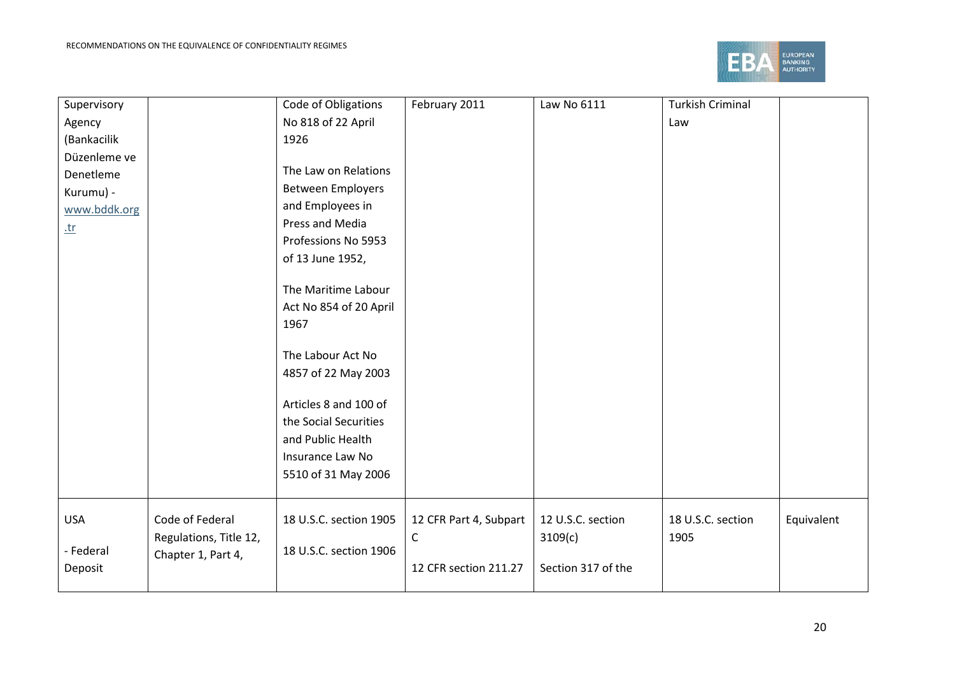

| Supervisory  | Code of Obligations                       | February 2011          | Law No 6111        | <b>Turkish Criminal</b> |            |
|--------------|-------------------------------------------|------------------------|--------------------|-------------------------|------------|
| Agency       | No 818 of 22 April                        |                        |                    | Law                     |            |
| (Bankacilik  | 1926                                      |                        |                    |                         |            |
| Düzenleme ve |                                           |                        |                    |                         |            |
| Denetleme    | The Law on Relations                      |                        |                    |                         |            |
| Kurumu) -    | <b>Between Employers</b>                  |                        |                    |                         |            |
| www.bddk.org | and Employees in                          |                        |                    |                         |            |
| $tr$         | Press and Media                           |                        |                    |                         |            |
|              | Professions No 5953                       |                        |                    |                         |            |
|              | of 13 June 1952,                          |                        |                    |                         |            |
|              |                                           |                        |                    |                         |            |
|              | The Maritime Labour                       |                        |                    |                         |            |
|              | Act No 854 of 20 April                    |                        |                    |                         |            |
|              | 1967                                      |                        |                    |                         |            |
|              |                                           |                        |                    |                         |            |
|              | The Labour Act No                         |                        |                    |                         |            |
|              | 4857 of 22 May 2003                       |                        |                    |                         |            |
|              |                                           |                        |                    |                         |            |
|              | Articles 8 and 100 of                     |                        |                    |                         |            |
|              | the Social Securities                     |                        |                    |                         |            |
|              | and Public Health                         |                        |                    |                         |            |
|              | Insurance Law No                          |                        |                    |                         |            |
|              | 5510 of 31 May 2006                       |                        |                    |                         |            |
|              |                                           |                        |                    |                         |            |
| <b>USA</b>   | Code of Federal<br>18 U.S.C. section 1905 | 12 CFR Part 4, Subpart | 12 U.S.C. section  | 18 U.S.C. section       | Equivalent |
|              | Regulations, Title 12,                    | С                      | 3109(c)            | 1905                    |            |
| - Federal    | 18 U.S.C. section 1906                    |                        |                    |                         |            |
| Deposit      | Chapter 1, Part 4,                        | 12 CFR section 211.27  | Section 317 of the |                         |            |
|              |                                           |                        |                    |                         |            |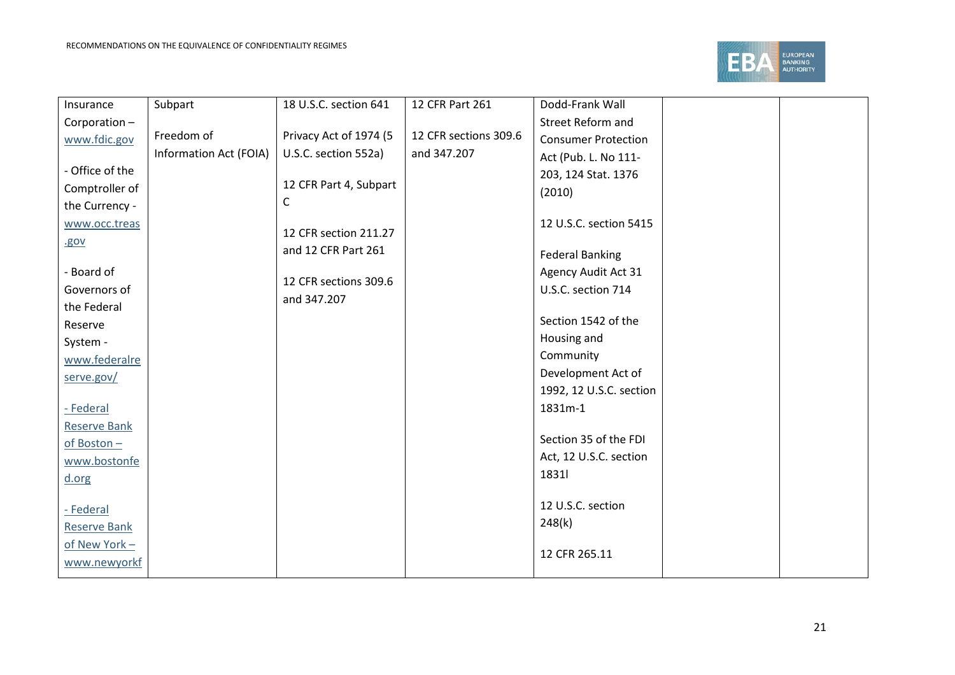

| Street Reform and<br>Corporation-<br>Freedom of<br>Privacy Act of 1974 (5<br>12 CFR sections 309.6<br><b>Consumer Protection</b><br>www.fdic.gov<br>Information Act (FOIA)<br>U.S.C. section 552a)<br>and 347.207<br>Act (Pub. L. No 111-<br>- Office of the<br>203, 124 Stat. 1376<br>12 CFR Part 4, Subpart<br>Comptroller of<br>(2010)<br>C<br>the Currency -<br>12 U.S.C. section 5415<br>www.occ.treas<br>12 CFR section 211.27<br>.gov<br>and 12 CFR Part 261<br><b>Federal Banking</b><br>- Board of<br><b>Agency Audit Act 31</b><br>12 CFR sections 309.6<br>Governors of<br>U.S.C. section 714<br>and 347.207<br>the Federal<br>Section 1542 of the<br>Reserve<br>Housing and<br>System - | Insurance     | Subpart | 18 U.S.C. section 641 | 12 CFR Part 261 | Dodd-Frank Wall |  |
|-----------------------------------------------------------------------------------------------------------------------------------------------------------------------------------------------------------------------------------------------------------------------------------------------------------------------------------------------------------------------------------------------------------------------------------------------------------------------------------------------------------------------------------------------------------------------------------------------------------------------------------------------------------------------------------------------------|---------------|---------|-----------------------|-----------------|-----------------|--|
|                                                                                                                                                                                                                                                                                                                                                                                                                                                                                                                                                                                                                                                                                                     |               |         |                       |                 |                 |  |
|                                                                                                                                                                                                                                                                                                                                                                                                                                                                                                                                                                                                                                                                                                     |               |         |                       |                 |                 |  |
|                                                                                                                                                                                                                                                                                                                                                                                                                                                                                                                                                                                                                                                                                                     |               |         |                       |                 |                 |  |
|                                                                                                                                                                                                                                                                                                                                                                                                                                                                                                                                                                                                                                                                                                     |               |         |                       |                 |                 |  |
|                                                                                                                                                                                                                                                                                                                                                                                                                                                                                                                                                                                                                                                                                                     |               |         |                       |                 |                 |  |
|                                                                                                                                                                                                                                                                                                                                                                                                                                                                                                                                                                                                                                                                                                     |               |         |                       |                 |                 |  |
|                                                                                                                                                                                                                                                                                                                                                                                                                                                                                                                                                                                                                                                                                                     |               |         |                       |                 |                 |  |
|                                                                                                                                                                                                                                                                                                                                                                                                                                                                                                                                                                                                                                                                                                     |               |         |                       |                 |                 |  |
|                                                                                                                                                                                                                                                                                                                                                                                                                                                                                                                                                                                                                                                                                                     |               |         |                       |                 |                 |  |
|                                                                                                                                                                                                                                                                                                                                                                                                                                                                                                                                                                                                                                                                                                     |               |         |                       |                 |                 |  |
|                                                                                                                                                                                                                                                                                                                                                                                                                                                                                                                                                                                                                                                                                                     |               |         |                       |                 |                 |  |
|                                                                                                                                                                                                                                                                                                                                                                                                                                                                                                                                                                                                                                                                                                     |               |         |                       |                 |                 |  |
|                                                                                                                                                                                                                                                                                                                                                                                                                                                                                                                                                                                                                                                                                                     |               |         |                       |                 |                 |  |
|                                                                                                                                                                                                                                                                                                                                                                                                                                                                                                                                                                                                                                                                                                     |               |         |                       |                 |                 |  |
|                                                                                                                                                                                                                                                                                                                                                                                                                                                                                                                                                                                                                                                                                                     | www.federalre |         |                       |                 | Community       |  |
| Development Act of<br>serve.gov/                                                                                                                                                                                                                                                                                                                                                                                                                                                                                                                                                                                                                                                                    |               |         |                       |                 |                 |  |
| 1992, 12 U.S.C. section                                                                                                                                                                                                                                                                                                                                                                                                                                                                                                                                                                                                                                                                             |               |         |                       |                 |                 |  |
| 1831m-1<br>- Federal                                                                                                                                                                                                                                                                                                                                                                                                                                                                                                                                                                                                                                                                                |               |         |                       |                 |                 |  |
| <b>Reserve Bank</b>                                                                                                                                                                                                                                                                                                                                                                                                                                                                                                                                                                                                                                                                                 |               |         |                       |                 |                 |  |
| Section 35 of the FDI<br>of Boston -                                                                                                                                                                                                                                                                                                                                                                                                                                                                                                                                                                                                                                                                |               |         |                       |                 |                 |  |
| Act, 12 U.S.C. section<br>www.bostonfe                                                                                                                                                                                                                                                                                                                                                                                                                                                                                                                                                                                                                                                              |               |         |                       |                 |                 |  |
| 1831<br>d.org                                                                                                                                                                                                                                                                                                                                                                                                                                                                                                                                                                                                                                                                                       |               |         |                       |                 |                 |  |
|                                                                                                                                                                                                                                                                                                                                                                                                                                                                                                                                                                                                                                                                                                     |               |         |                       |                 |                 |  |
| 12 U.S.C. section<br>- Federal                                                                                                                                                                                                                                                                                                                                                                                                                                                                                                                                                                                                                                                                      |               |         |                       |                 |                 |  |
| 248(k)<br><b>Reserve Bank</b>                                                                                                                                                                                                                                                                                                                                                                                                                                                                                                                                                                                                                                                                       |               |         |                       |                 |                 |  |
| of New York -                                                                                                                                                                                                                                                                                                                                                                                                                                                                                                                                                                                                                                                                                       |               |         |                       |                 |                 |  |
| 12 CFR 265.11<br>www.newyorkf                                                                                                                                                                                                                                                                                                                                                                                                                                                                                                                                                                                                                                                                       |               |         |                       |                 |                 |  |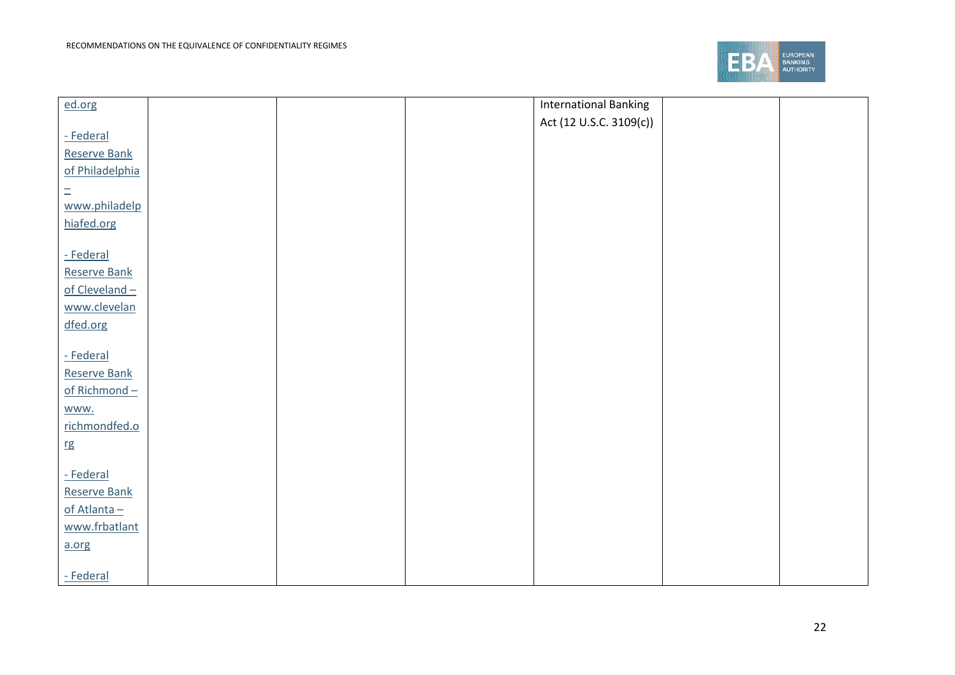

| ed.org          |  | <b>International Banking</b> |  |
|-----------------|--|------------------------------|--|
|                 |  | Act (12 U.S.C. 3109(c))      |  |
| - Federal       |  |                              |  |
| Reserve Bank    |  |                              |  |
| of Philadelphia |  |                              |  |
| $\equiv$        |  |                              |  |
| www.philadelp   |  |                              |  |
| hiafed.org      |  |                              |  |
|                 |  |                              |  |
| - Federal       |  |                              |  |
| Reserve Bank    |  |                              |  |
| of Cleveland-   |  |                              |  |
| www.clevelan    |  |                              |  |
| dfed.org        |  |                              |  |
|                 |  |                              |  |
| - Federal       |  |                              |  |
| Reserve Bank    |  |                              |  |
| of Richmond-    |  |                              |  |
| www.            |  |                              |  |
| richmondfed.o   |  |                              |  |
| rg              |  |                              |  |
| - Federal       |  |                              |  |
| Reserve Bank    |  |                              |  |
| of Atlanta-     |  |                              |  |
| www.frbatlant   |  |                              |  |
|                 |  |                              |  |
| a.org           |  |                              |  |
| - Federal       |  |                              |  |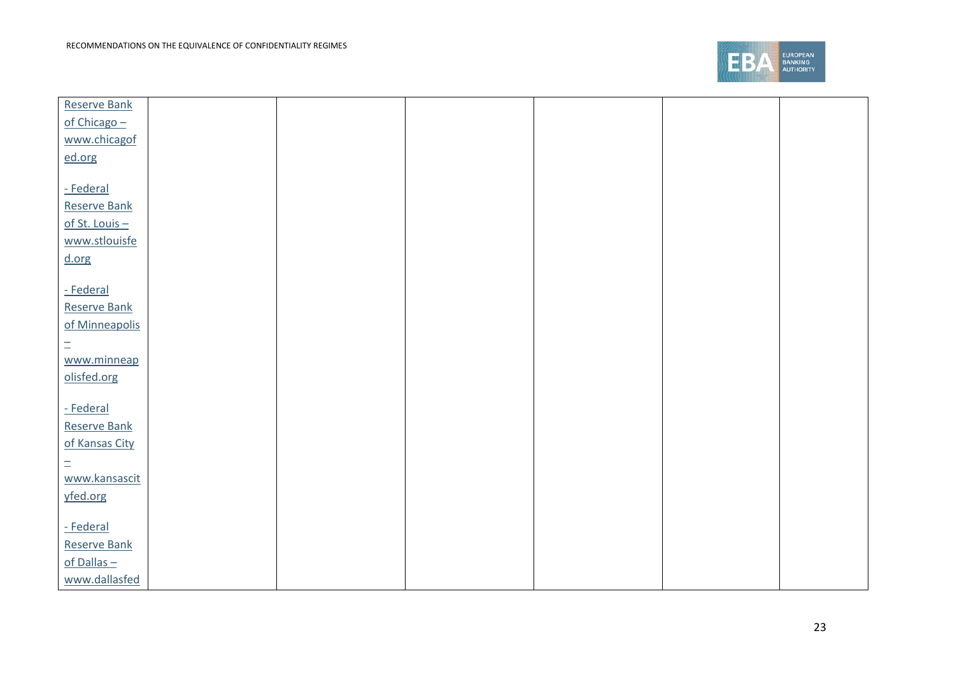

| Reserve Bank        |  |  |  |
|---------------------|--|--|--|
| of Chicago -        |  |  |  |
| www.chicagof        |  |  |  |
| ed.org              |  |  |  |
|                     |  |  |  |
| - Federal           |  |  |  |
| <b>Reserve Bank</b> |  |  |  |
| of St. Louis $-$    |  |  |  |
| www.stlouisfe       |  |  |  |
|                     |  |  |  |
| d.org               |  |  |  |
| - Federal           |  |  |  |
| <b>Reserve Bank</b> |  |  |  |
|                     |  |  |  |
| of Minneapolis      |  |  |  |
| $\equiv$            |  |  |  |
| www.minneap         |  |  |  |
| olisfed.org         |  |  |  |
|                     |  |  |  |
| - Federal           |  |  |  |
| Reserve Bank        |  |  |  |
| of Kansas City      |  |  |  |
| $\equiv$            |  |  |  |
| www.kansascit       |  |  |  |
| yfed.org            |  |  |  |
|                     |  |  |  |
| - Federal           |  |  |  |
| Reserve Bank        |  |  |  |
| $of$ Dallas $-$     |  |  |  |
| www.dallasfed       |  |  |  |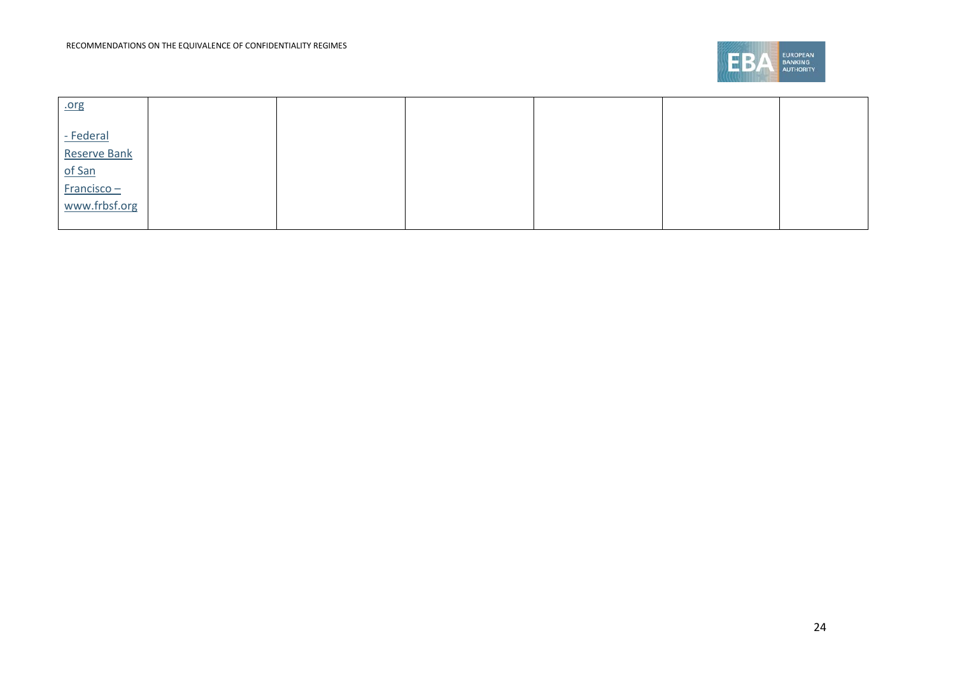

| .org          |  |  |  |
|---------------|--|--|--|
| - Federal     |  |  |  |
| Reserve Bank  |  |  |  |
| of San        |  |  |  |
| $Francisco -$ |  |  |  |
| www.frbsf.org |  |  |  |
|               |  |  |  |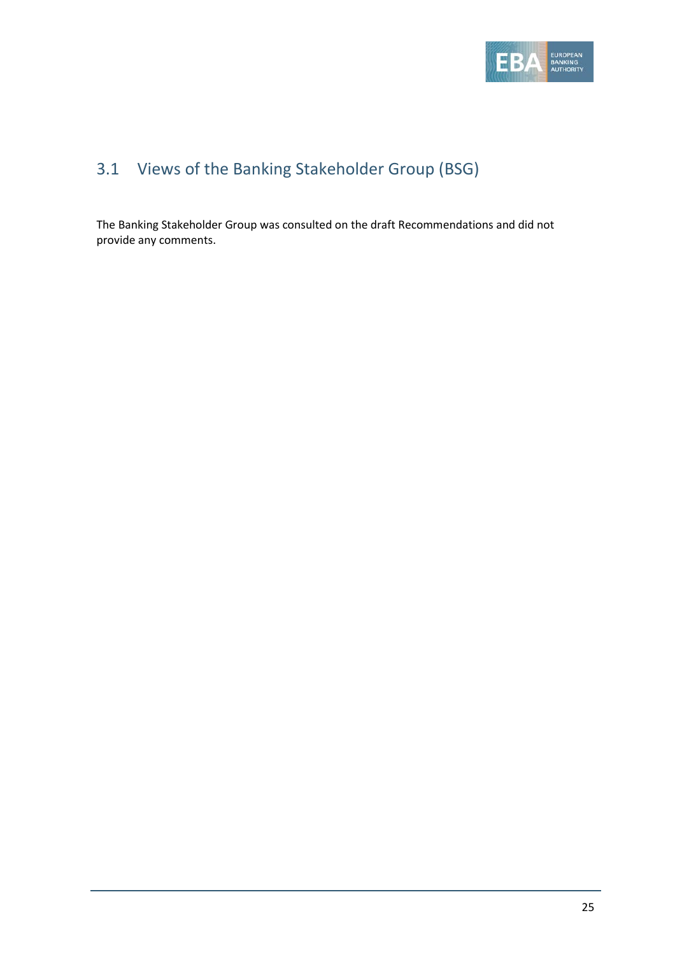

### 3.1 Views of the Banking Stakeholder Group (BSG)

The Banking Stakeholder Group was consulted on the draft Recommendations and did not provide any comments.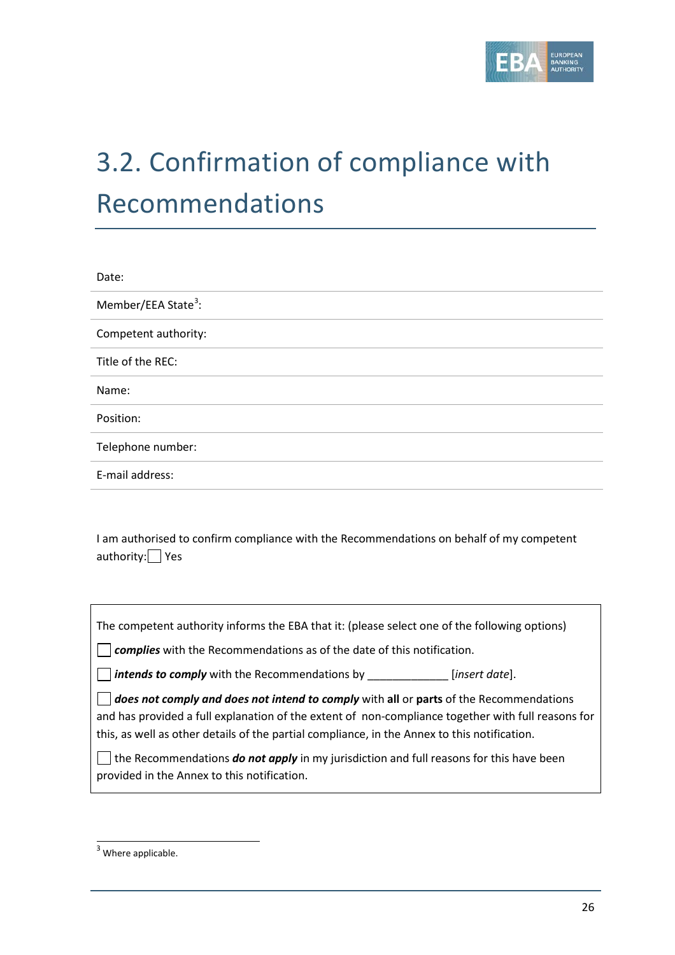

# 3.2. Confirmation of compliance with Recommendations

| Date:                           |
|---------------------------------|
| Member/EEA State <sup>3</sup> : |
| Competent authority:            |
| Title of the REC:               |
| Name:                           |
| Position:                       |
| Telephone number:               |
| E-mail address:                 |

I am authorised to confirm compliance with the Recommendations on behalf of my competent authority: Yes

The competent authority informs the EBA that it: (please select one of the following options)

**Complies** with the Recommendations as of the date of this notification.

*intends to comply* with the Recommendations by \_\_\_\_\_\_\_\_\_\_\_\_\_ [*insert date*].

*does not comply and does not intend to comply* with **all** or **parts** of the Recommendations and has provided a full explanation of the extent of non-compliance together with full reasons for this, as well as other details of the partial compliance, in the Annex to this notification.

 $\Box$  the Recommendations **do not apply** in my jurisdiction and full reasons for this have been provided in the Annex to this notification.

<span id="page-25-0"></span> $3$  Where applicable.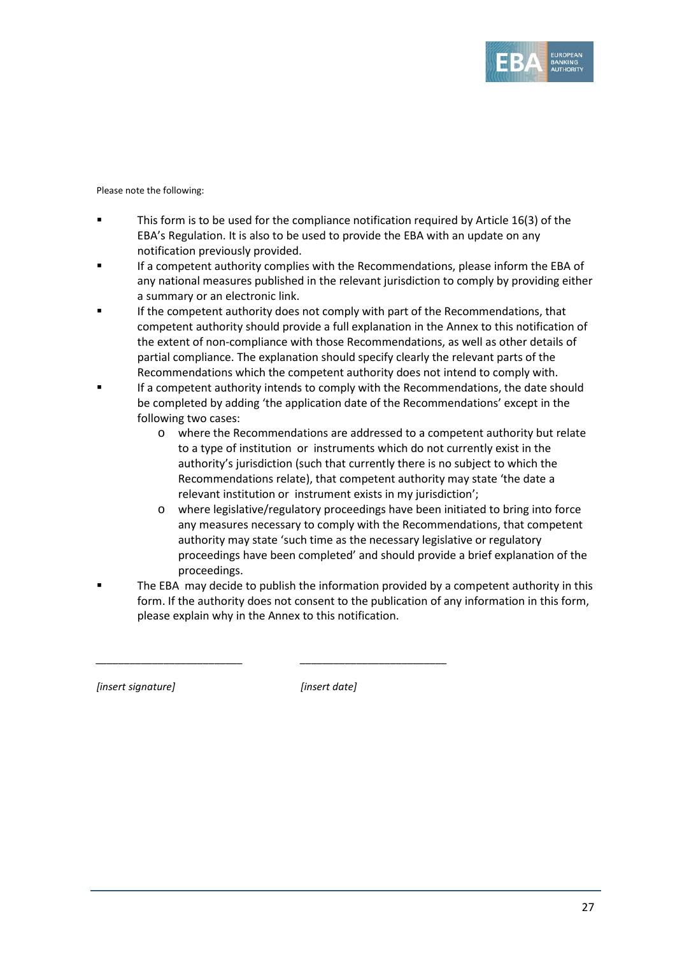

Please note the following:

- This form is to be used for the compliance notification required by Article 16(3) of the EBA's Regulation. It is also to be used to provide the EBA with an update on any notification previously provided.
- If a competent authority complies with the Recommendations, please inform the EBA of any national measures published in the relevant jurisdiction to comply by providing either a summary or an electronic link.
- If the competent authority does not comply with part of the Recommendations, that competent authority should provide a full explanation in the Annex to this notification of the extent of non-compliance with those Recommendations, as well as other details of partial compliance. The explanation should specify clearly the relevant parts of the Recommendations which the competent authority does not intend to comply with.
- If a competent authority intends to comply with the Recommendations, the date should be completed by adding 'the application date of the Recommendations' except in the following two cases:
	- o where the Recommendations are addressed to a competent authority but relate to a type of institution or instruments which do not currently exist in the authority's jurisdiction (such that currently there is no subject to which the Recommendations relate), that competent authority may state 'the date a relevant institution or instrument exists in my jurisdiction';
	- o where legislative/regulatory proceedings have been initiated to bring into force any measures necessary to comply with the Recommendations, that competent authority may state 'such time as the necessary legislative or regulatory proceedings have been completed' and should provide a brief explanation of the proceedings.
	- The EBA may decide to publish the information provided by a competent authority in this form. If the authority does not consent to the publication of any information in this form, please explain why in the Annex to this notification.

*[insert signature] [insert date]*

*\_\_\_\_\_\_\_\_\_\_\_\_\_\_\_\_\_\_\_\_\_\_\_\_\_\_ \_\_\_\_\_\_\_\_\_\_\_\_\_\_\_\_\_\_\_\_\_\_\_\_\_\_*